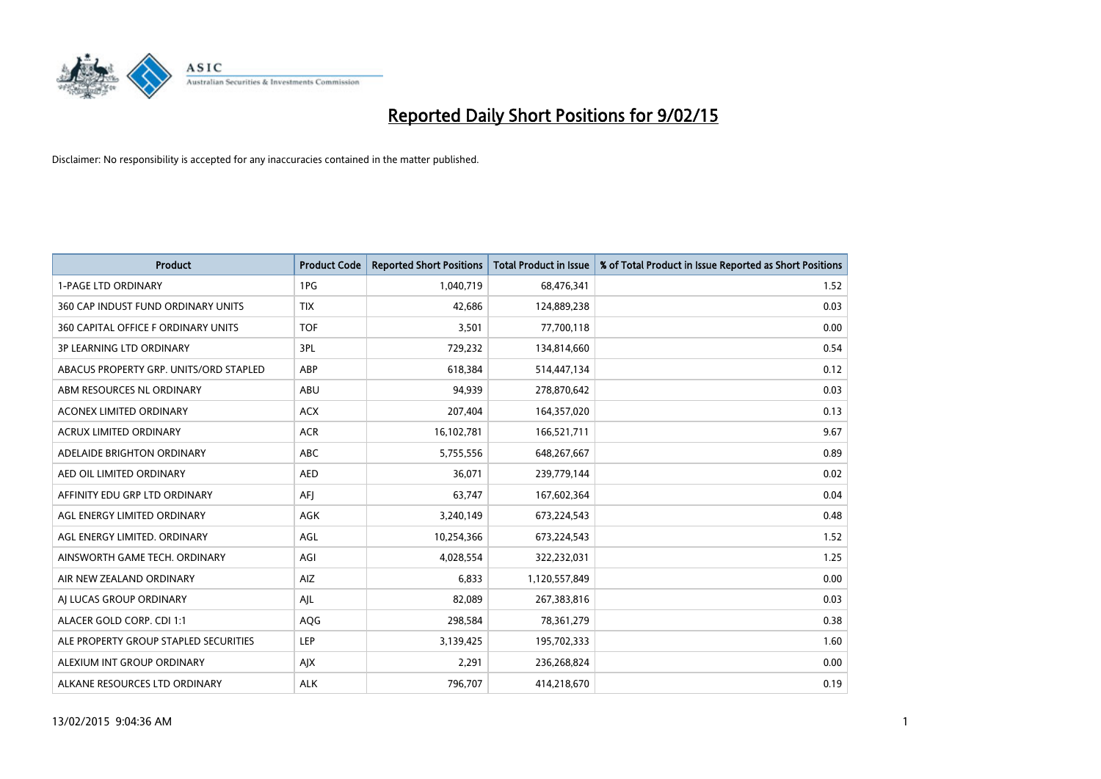

| <b>Product</b>                         | <b>Product Code</b> | <b>Reported Short Positions</b> | <b>Total Product in Issue</b> | % of Total Product in Issue Reported as Short Positions |
|----------------------------------------|---------------------|---------------------------------|-------------------------------|---------------------------------------------------------|
| <b>1-PAGE LTD ORDINARY</b>             | 1PG                 | 1,040,719                       | 68,476,341                    | 1.52                                                    |
| 360 CAP INDUST FUND ORDINARY UNITS     | <b>TIX</b>          | 42,686                          | 124,889,238                   | 0.03                                                    |
| 360 CAPITAL OFFICE F ORDINARY UNITS    | <b>TOF</b>          | 3,501                           | 77,700,118                    | 0.00                                                    |
| <b>3P LEARNING LTD ORDINARY</b>        | 3PL                 | 729,232                         | 134,814,660                   | 0.54                                                    |
| ABACUS PROPERTY GRP. UNITS/ORD STAPLED | ABP                 | 618,384                         | 514,447,134                   | 0.12                                                    |
| ABM RESOURCES NL ORDINARY              | ABU                 | 94,939                          | 278,870,642                   | 0.03                                                    |
| <b>ACONEX LIMITED ORDINARY</b>         | <b>ACX</b>          | 207,404                         | 164,357,020                   | 0.13                                                    |
| ACRUX LIMITED ORDINARY                 | <b>ACR</b>          | 16,102,781                      | 166,521,711                   | 9.67                                                    |
| ADELAIDE BRIGHTON ORDINARY             | <b>ABC</b>          | 5,755,556                       | 648,267,667                   | 0.89                                                    |
| AED OIL LIMITED ORDINARY               | <b>AED</b>          | 36,071                          | 239,779,144                   | 0.02                                                    |
| AFFINITY EDU GRP LTD ORDINARY          | AFJ                 | 63,747                          | 167,602,364                   | 0.04                                                    |
| AGL ENERGY LIMITED ORDINARY            | AGK                 | 3,240,149                       | 673,224,543                   | 0.48                                                    |
| AGL ENERGY LIMITED. ORDINARY           | AGL                 | 10,254,366                      | 673,224,543                   | 1.52                                                    |
| AINSWORTH GAME TECH. ORDINARY          | AGI                 | 4,028,554                       | 322,232,031                   | 1.25                                                    |
| AIR NEW ZEALAND ORDINARY               | AIZ                 | 6,833                           | 1,120,557,849                 | 0.00                                                    |
| AI LUCAS GROUP ORDINARY                | AJL                 | 82,089                          | 267,383,816                   | 0.03                                                    |
| ALACER GOLD CORP. CDI 1:1              | AQG                 | 298,584                         | 78,361,279                    | 0.38                                                    |
| ALE PROPERTY GROUP STAPLED SECURITIES  | <b>LEP</b>          | 3,139,425                       | 195,702,333                   | 1.60                                                    |
| ALEXIUM INT GROUP ORDINARY             | AJX                 | 2,291                           | 236,268,824                   | 0.00                                                    |
| ALKANE RESOURCES LTD ORDINARY          | <b>ALK</b>          | 796,707                         | 414,218,670                   | 0.19                                                    |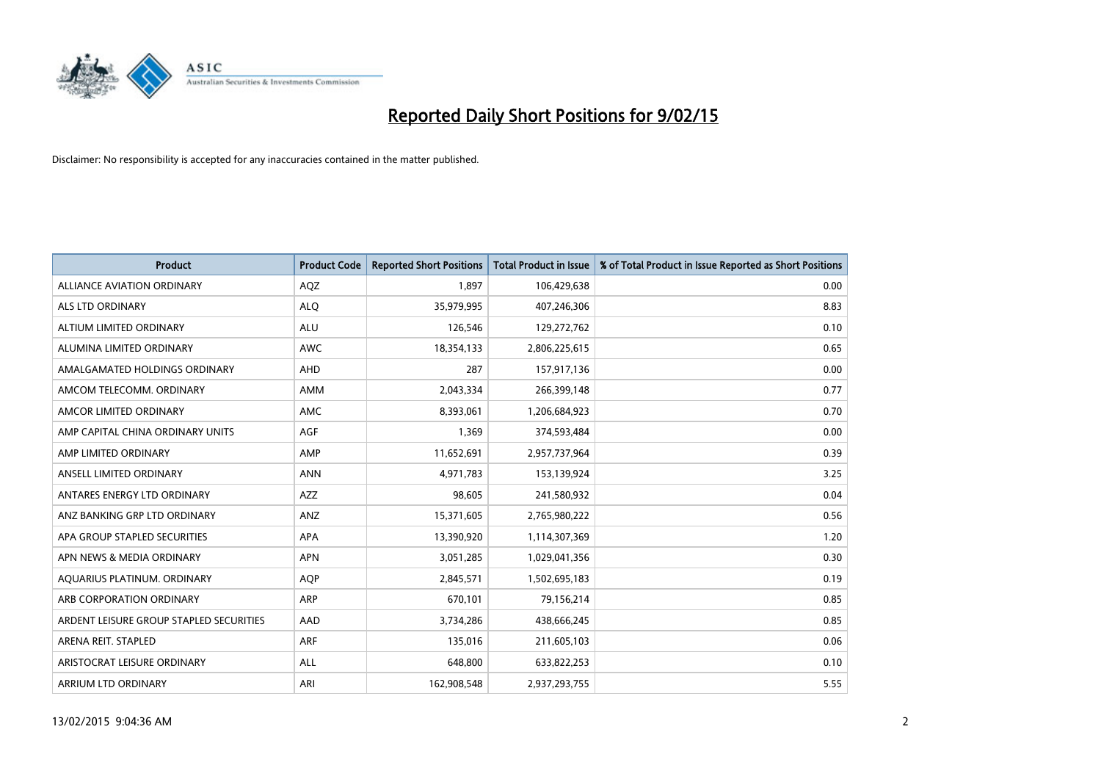

| <b>Product</b>                          | <b>Product Code</b> | <b>Reported Short Positions</b> | <b>Total Product in Issue</b> | % of Total Product in Issue Reported as Short Positions |
|-----------------------------------------|---------------------|---------------------------------|-------------------------------|---------------------------------------------------------|
| ALLIANCE AVIATION ORDINARY              | AQZ                 | 1.897                           | 106,429,638                   | 0.00                                                    |
| ALS LTD ORDINARY                        | <b>ALQ</b>          | 35,979,995                      | 407,246,306                   | 8.83                                                    |
| ALTIUM LIMITED ORDINARY                 | <b>ALU</b>          | 126,546                         | 129,272,762                   | 0.10                                                    |
| ALUMINA LIMITED ORDINARY                | <b>AWC</b>          | 18,354,133                      | 2,806,225,615                 | 0.65                                                    |
| AMALGAMATED HOLDINGS ORDINARY           | AHD                 | 287                             | 157,917,136                   | 0.00                                                    |
| AMCOM TELECOMM, ORDINARY                | AMM                 | 2,043,334                       | 266,399,148                   | 0.77                                                    |
| AMCOR LIMITED ORDINARY                  | AMC                 | 8,393,061                       | 1,206,684,923                 | 0.70                                                    |
| AMP CAPITAL CHINA ORDINARY UNITS        | AGF                 | 1,369                           | 374,593,484                   | 0.00                                                    |
| AMP LIMITED ORDINARY                    | AMP                 | 11,652,691                      | 2,957,737,964                 | 0.39                                                    |
| ANSELL LIMITED ORDINARY                 | <b>ANN</b>          | 4,971,783                       | 153,139,924                   | 3.25                                                    |
| ANTARES ENERGY LTD ORDINARY             | AZZ                 | 98,605                          | 241,580,932                   | 0.04                                                    |
| ANZ BANKING GRP LTD ORDINARY            | ANZ                 | 15,371,605                      | 2,765,980,222                 | 0.56                                                    |
| APA GROUP STAPLED SECURITIES            | <b>APA</b>          | 13,390,920                      | 1,114,307,369                 | 1.20                                                    |
| APN NEWS & MEDIA ORDINARY               | <b>APN</b>          | 3,051,285                       | 1,029,041,356                 | 0.30                                                    |
| AQUARIUS PLATINUM. ORDINARY             | AQP                 | 2,845,571                       | 1,502,695,183                 | 0.19                                                    |
| ARB CORPORATION ORDINARY                | ARP                 | 670,101                         | 79,156,214                    | 0.85                                                    |
| ARDENT LEISURE GROUP STAPLED SECURITIES | AAD                 | 3,734,286                       | 438,666,245                   | 0.85                                                    |
| ARENA REIT. STAPLED                     | <b>ARF</b>          | 135,016                         | 211,605,103                   | 0.06                                                    |
| ARISTOCRAT LEISURE ORDINARY             | ALL                 | 648,800                         | 633,822,253                   | 0.10                                                    |
| ARRIUM LTD ORDINARY                     | ARI                 | 162,908,548                     | 2,937,293,755                 | 5.55                                                    |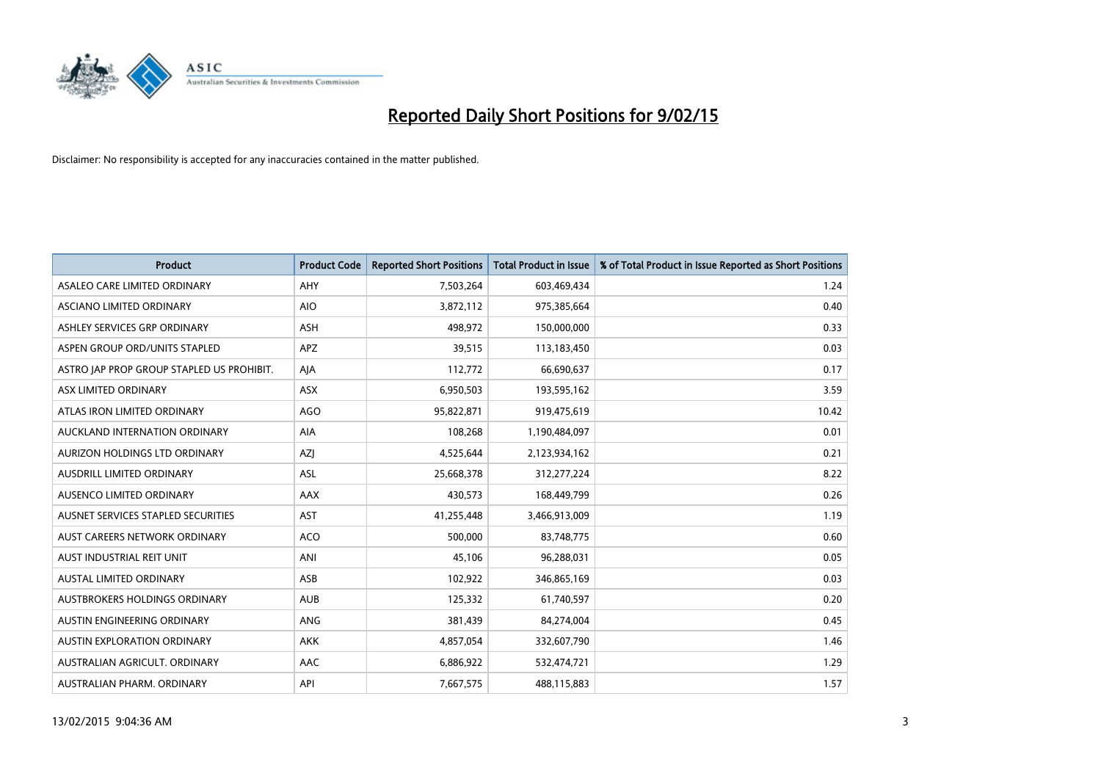

| <b>Product</b>                            | <b>Product Code</b> | <b>Reported Short Positions</b> | <b>Total Product in Issue</b> | % of Total Product in Issue Reported as Short Positions |
|-------------------------------------------|---------------------|---------------------------------|-------------------------------|---------------------------------------------------------|
| ASALEO CARE LIMITED ORDINARY              | AHY                 | 7,503,264                       | 603,469,434                   | 1.24                                                    |
| ASCIANO LIMITED ORDINARY                  | <b>AIO</b>          | 3,872,112                       | 975,385,664                   | 0.40                                                    |
| ASHLEY SERVICES GRP ORDINARY              | <b>ASH</b>          | 498,972                         | 150,000,000                   | 0.33                                                    |
| ASPEN GROUP ORD/UNITS STAPLED             | APZ                 | 39,515                          | 113,183,450                   | 0.03                                                    |
| ASTRO JAP PROP GROUP STAPLED US PROHIBIT. | AJA                 | 112,772                         | 66,690,637                    | 0.17                                                    |
| ASX LIMITED ORDINARY                      | ASX                 | 6,950,503                       | 193,595,162                   | 3.59                                                    |
| ATLAS IRON LIMITED ORDINARY               | <b>AGO</b>          | 95,822,871                      | 919,475,619                   | 10.42                                                   |
| AUCKLAND INTERNATION ORDINARY             | AIA                 | 108,268                         | 1,190,484,097                 | 0.01                                                    |
| AURIZON HOLDINGS LTD ORDINARY             | AZJ                 | 4,525,644                       | 2,123,934,162                 | 0.21                                                    |
| AUSDRILL LIMITED ORDINARY                 | <b>ASL</b>          | 25,668,378                      | 312,277,224                   | 8.22                                                    |
| AUSENCO LIMITED ORDINARY                  | AAX                 | 430,573                         | 168,449,799                   | 0.26                                                    |
| AUSNET SERVICES STAPLED SECURITIES        | <b>AST</b>          | 41,255,448                      | 3,466,913,009                 | 1.19                                                    |
| AUST CAREERS NETWORK ORDINARY             | <b>ACO</b>          | 500,000                         | 83,748,775                    | 0.60                                                    |
| AUST INDUSTRIAL REIT UNIT                 | ANI                 | 45,106                          | 96,288,031                    | 0.05                                                    |
| <b>AUSTAL LIMITED ORDINARY</b>            | ASB                 | 102,922                         | 346,865,169                   | 0.03                                                    |
| AUSTBROKERS HOLDINGS ORDINARY             | <b>AUB</b>          | 125,332                         | 61,740,597                    | 0.20                                                    |
| AUSTIN ENGINEERING ORDINARY               | ANG                 | 381,439                         | 84,274,004                    | 0.45                                                    |
| AUSTIN EXPLORATION ORDINARY               | <b>AKK</b>          | 4,857,054                       | 332,607,790                   | 1.46                                                    |
| AUSTRALIAN AGRICULT, ORDINARY             | AAC                 | 6,886,922                       | 532,474,721                   | 1.29                                                    |
| AUSTRALIAN PHARM. ORDINARY                | API                 | 7,667,575                       | 488,115,883                   | 1.57                                                    |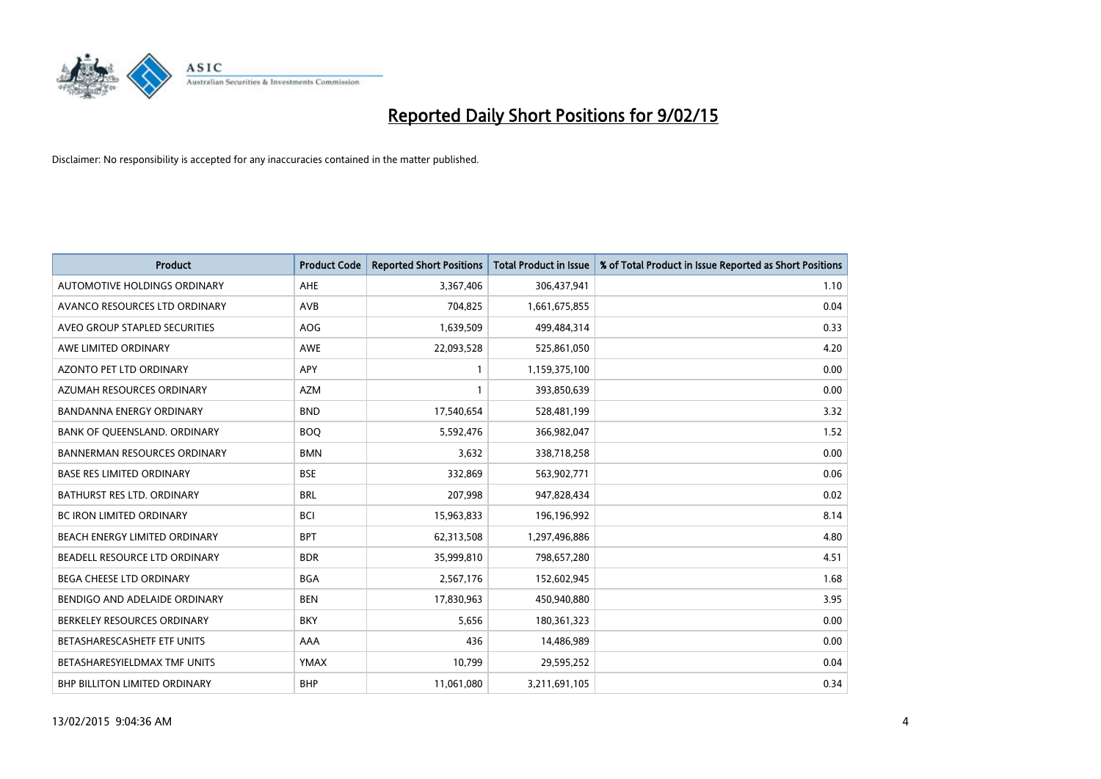

| <b>Product</b>                      | <b>Product Code</b> | <b>Reported Short Positions</b> | <b>Total Product in Issue</b> | % of Total Product in Issue Reported as Short Positions |
|-------------------------------------|---------------------|---------------------------------|-------------------------------|---------------------------------------------------------|
| AUTOMOTIVE HOLDINGS ORDINARY        | AHE                 | 3,367,406                       | 306,437,941                   | 1.10                                                    |
| AVANCO RESOURCES LTD ORDINARY       | AVB                 | 704,825                         | 1,661,675,855                 | 0.04                                                    |
| AVEO GROUP STAPLED SECURITIES       | <b>AOG</b>          | 1,639,509                       | 499,484,314                   | 0.33                                                    |
| AWE LIMITED ORDINARY                | <b>AWE</b>          | 22,093,528                      | 525,861,050                   | 4.20                                                    |
| <b>AZONTO PET LTD ORDINARY</b>      | APY                 | 1                               | 1,159,375,100                 | 0.00                                                    |
| AZUMAH RESOURCES ORDINARY           | <b>AZM</b>          | $\mathbf{1}$                    | 393,850,639                   | 0.00                                                    |
| <b>BANDANNA ENERGY ORDINARY</b>     | <b>BND</b>          | 17,540,654                      | 528,481,199                   | 3.32                                                    |
| BANK OF QUEENSLAND. ORDINARY        | <b>BOO</b>          | 5,592,476                       | 366,982,047                   | 1.52                                                    |
| <b>BANNERMAN RESOURCES ORDINARY</b> | <b>BMN</b>          | 3,632                           | 338,718,258                   | 0.00                                                    |
| <b>BASE RES LIMITED ORDINARY</b>    | <b>BSE</b>          | 332,869                         | 563,902,771                   | 0.06                                                    |
| BATHURST RES LTD. ORDINARY          | <b>BRL</b>          | 207,998                         | 947,828,434                   | 0.02                                                    |
| <b>BC IRON LIMITED ORDINARY</b>     | <b>BCI</b>          | 15,963,833                      | 196,196,992                   | 8.14                                                    |
| BEACH ENERGY LIMITED ORDINARY       | <b>BPT</b>          | 62,313,508                      | 1,297,496,886                 | 4.80                                                    |
| BEADELL RESOURCE LTD ORDINARY       | <b>BDR</b>          | 35,999,810                      | 798,657,280                   | 4.51                                                    |
| <b>BEGA CHEESE LTD ORDINARY</b>     | <b>BGA</b>          | 2,567,176                       | 152,602,945                   | 1.68                                                    |
| BENDIGO AND ADELAIDE ORDINARY       | <b>BEN</b>          | 17,830,963                      | 450,940,880                   | 3.95                                                    |
| BERKELEY RESOURCES ORDINARY         | <b>BKY</b>          | 5,656                           | 180,361,323                   | 0.00                                                    |
| BETASHARESCASHETF ETF UNITS         | AAA                 | 436                             | 14,486,989                    | 0.00                                                    |
| BETASHARESYIELDMAX TMF UNITS        | <b>YMAX</b>         | 10,799                          | 29,595,252                    | 0.04                                                    |
| BHP BILLITON LIMITED ORDINARY       | <b>BHP</b>          | 11,061,080                      | 3,211,691,105                 | 0.34                                                    |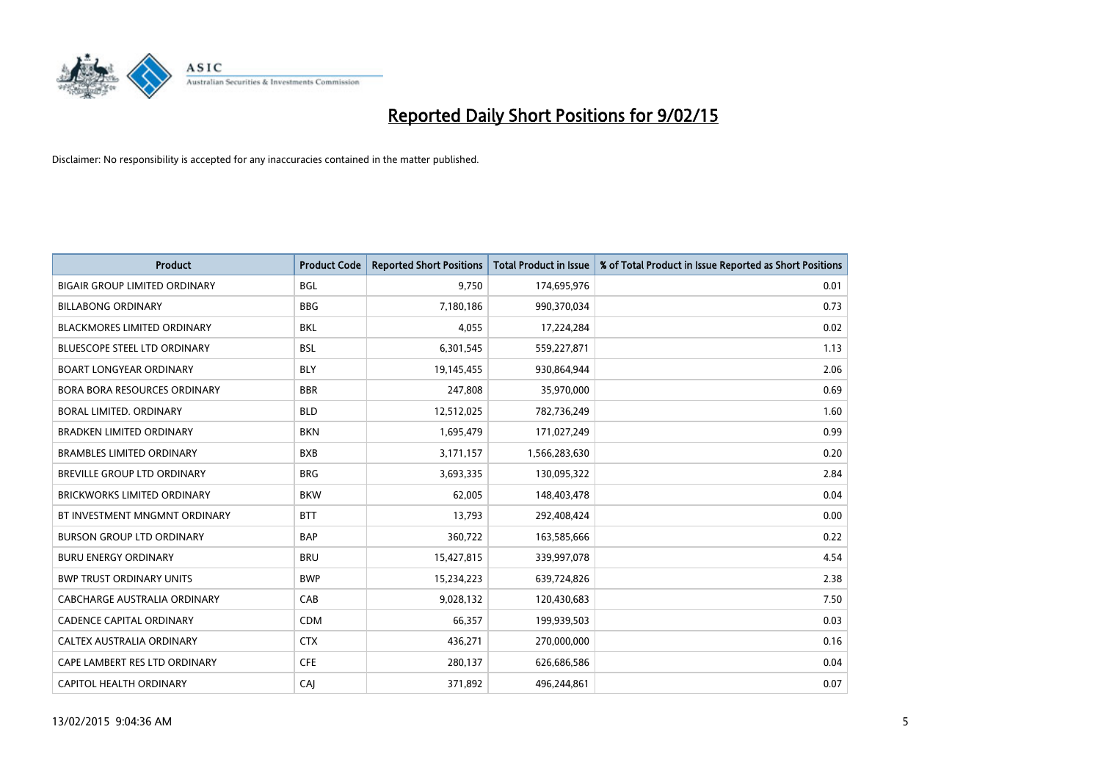

| <b>Product</b>                       | <b>Product Code</b> | <b>Reported Short Positions</b> | <b>Total Product in Issue</b> | % of Total Product in Issue Reported as Short Positions |
|--------------------------------------|---------------------|---------------------------------|-------------------------------|---------------------------------------------------------|
| <b>BIGAIR GROUP LIMITED ORDINARY</b> | <b>BGL</b>          | 9,750                           | 174,695,976                   | 0.01                                                    |
| <b>BILLABONG ORDINARY</b>            | <b>BBG</b>          | 7,180,186                       | 990,370,034                   | 0.73                                                    |
| <b>BLACKMORES LIMITED ORDINARY</b>   | BKL                 | 4,055                           | 17,224,284                    | 0.02                                                    |
| BLUESCOPE STEEL LTD ORDINARY         | <b>BSL</b>          | 6,301,545                       | 559,227,871                   | 1.13                                                    |
| <b>BOART LONGYEAR ORDINARY</b>       | <b>BLY</b>          | 19,145,455                      | 930,864,944                   | 2.06                                                    |
| BORA BORA RESOURCES ORDINARY         | <b>BBR</b>          | 247,808                         | 35,970,000                    | 0.69                                                    |
| BORAL LIMITED. ORDINARY              | <b>BLD</b>          | 12,512,025                      | 782,736,249                   | 1.60                                                    |
| <b>BRADKEN LIMITED ORDINARY</b>      | <b>BKN</b>          | 1,695,479                       | 171,027,249                   | 0.99                                                    |
| <b>BRAMBLES LIMITED ORDINARY</b>     | <b>BXB</b>          | 3,171,157                       | 1,566,283,630                 | 0.20                                                    |
| BREVILLE GROUP LTD ORDINARY          | <b>BRG</b>          | 3,693,335                       | 130,095,322                   | 2.84                                                    |
| BRICKWORKS LIMITED ORDINARY          | <b>BKW</b>          | 62,005                          | 148,403,478                   | 0.04                                                    |
| BT INVESTMENT MNGMNT ORDINARY        | <b>BTT</b>          | 13,793                          | 292,408,424                   | 0.00                                                    |
| <b>BURSON GROUP LTD ORDINARY</b>     | <b>BAP</b>          | 360,722                         | 163,585,666                   | 0.22                                                    |
| <b>BURU ENERGY ORDINARY</b>          | <b>BRU</b>          | 15,427,815                      | 339,997,078                   | 4.54                                                    |
| <b>BWP TRUST ORDINARY UNITS</b>      | <b>BWP</b>          | 15,234,223                      | 639,724,826                   | 2.38                                                    |
| CABCHARGE AUSTRALIA ORDINARY         | CAB                 | 9,028,132                       | 120,430,683                   | 7.50                                                    |
| <b>CADENCE CAPITAL ORDINARY</b>      | <b>CDM</b>          | 66,357                          | 199,939,503                   | 0.03                                                    |
| CALTEX AUSTRALIA ORDINARY            | <b>CTX</b>          | 436,271                         | 270,000,000                   | 0.16                                                    |
| CAPE LAMBERT RES LTD ORDINARY        | <b>CFE</b>          | 280,137                         | 626,686,586                   | 0.04                                                    |
| CAPITOL HEALTH ORDINARY              | CAJ                 | 371,892                         | 496,244,861                   | 0.07                                                    |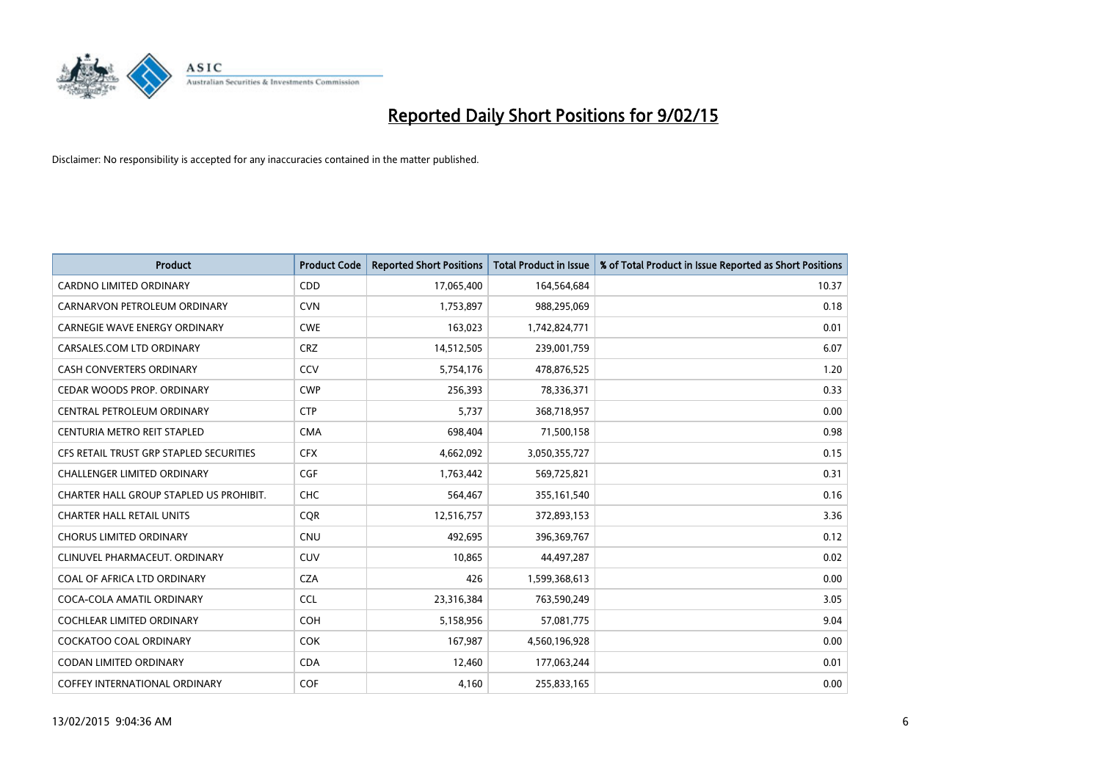

| <b>Product</b>                          | <b>Product Code</b> | <b>Reported Short Positions</b> | <b>Total Product in Issue</b> | % of Total Product in Issue Reported as Short Positions |
|-----------------------------------------|---------------------|---------------------------------|-------------------------------|---------------------------------------------------------|
| <b>CARDNO LIMITED ORDINARY</b>          | CDD                 | 17,065,400                      | 164,564,684                   | 10.37                                                   |
| CARNARVON PETROLEUM ORDINARY            | <b>CVN</b>          | 1,753,897                       | 988,295,069                   | 0.18                                                    |
| <b>CARNEGIE WAVE ENERGY ORDINARY</b>    | <b>CWE</b>          | 163,023                         | 1,742,824,771                 | 0.01                                                    |
| CARSALES.COM LTD ORDINARY               | <b>CRZ</b>          | 14,512,505                      | 239,001,759                   | 6.07                                                    |
| <b>CASH CONVERTERS ORDINARY</b>         | CCV                 | 5,754,176                       | 478,876,525                   | 1.20                                                    |
| CEDAR WOODS PROP. ORDINARY              | <b>CWP</b>          | 256,393                         | 78,336,371                    | 0.33                                                    |
| CENTRAL PETROLEUM ORDINARY              | <b>CTP</b>          | 5,737                           | 368,718,957                   | 0.00                                                    |
| CENTURIA METRO REIT STAPLED             | <b>CMA</b>          | 698,404                         | 71,500,158                    | 0.98                                                    |
| CFS RETAIL TRUST GRP STAPLED SECURITIES | <b>CFX</b>          | 4,662,092                       | 3,050,355,727                 | 0.15                                                    |
| <b>CHALLENGER LIMITED ORDINARY</b>      | <b>CGF</b>          | 1,763,442                       | 569,725,821                   | 0.31                                                    |
| CHARTER HALL GROUP STAPLED US PROHIBIT. | <b>CHC</b>          | 564,467                         | 355,161,540                   | 0.16                                                    |
| <b>CHARTER HALL RETAIL UNITS</b>        | <b>CQR</b>          | 12,516,757                      | 372,893,153                   | 3.36                                                    |
| <b>CHORUS LIMITED ORDINARY</b>          | <b>CNU</b>          | 492,695                         | 396,369,767                   | 0.12                                                    |
| CLINUVEL PHARMACEUT, ORDINARY           | <b>CUV</b>          | 10,865                          | 44,497,287                    | 0.02                                                    |
| COAL OF AFRICA LTD ORDINARY             | <b>CZA</b>          | 426                             | 1,599,368,613                 | 0.00                                                    |
| COCA-COLA AMATIL ORDINARY               | <b>CCL</b>          | 23,316,384                      | 763,590,249                   | 3.05                                                    |
| COCHLEAR LIMITED ORDINARY               | <b>COH</b>          | 5,158,956                       | 57,081,775                    | 9.04                                                    |
| COCKATOO COAL ORDINARY                  | <b>COK</b>          | 167,987                         | 4,560,196,928                 | 0.00                                                    |
| <b>CODAN LIMITED ORDINARY</b>           | <b>CDA</b>          | 12,460                          | 177,063,244                   | 0.01                                                    |
| <b>COFFEY INTERNATIONAL ORDINARY</b>    | <b>COF</b>          | 4,160                           | 255,833,165                   | 0.00                                                    |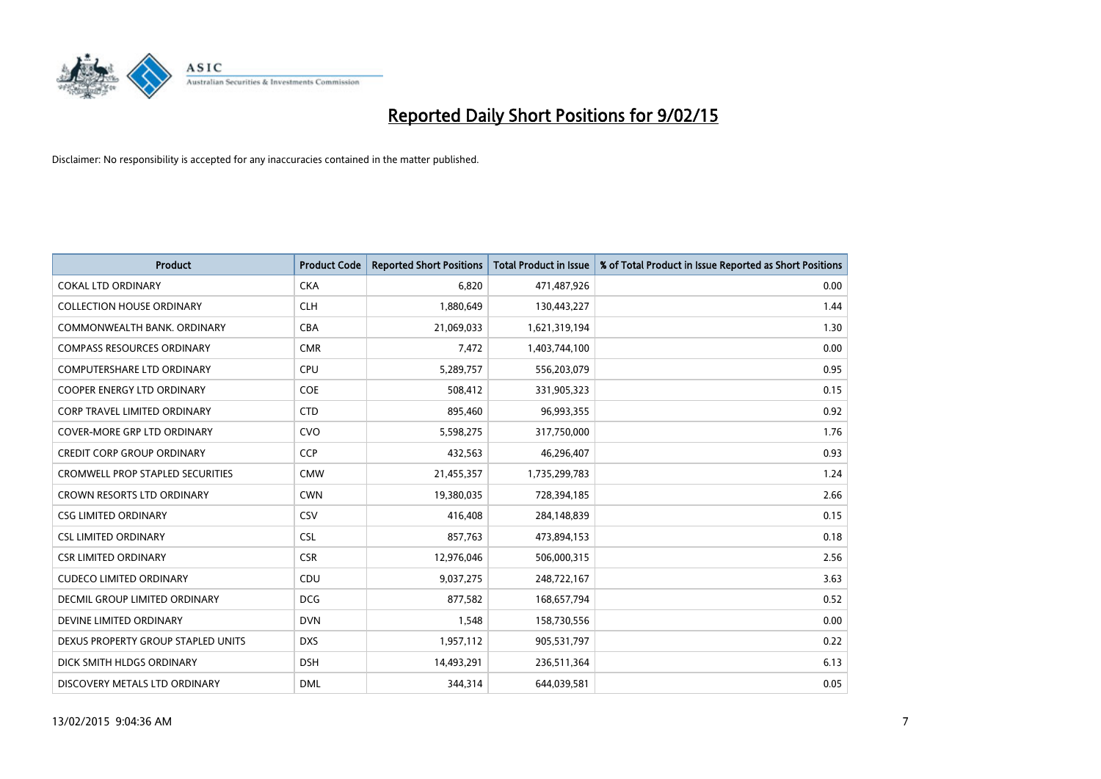

| <b>Product</b>                          | <b>Product Code</b> | <b>Reported Short Positions</b> | <b>Total Product in Issue</b> | % of Total Product in Issue Reported as Short Positions |
|-----------------------------------------|---------------------|---------------------------------|-------------------------------|---------------------------------------------------------|
| <b>COKAL LTD ORDINARY</b>               | <b>CKA</b>          | 6.820                           | 471,487,926                   | 0.00                                                    |
| <b>COLLECTION HOUSE ORDINARY</b>        | <b>CLH</b>          | 1,880,649                       | 130,443,227                   | 1.44                                                    |
| COMMONWEALTH BANK, ORDINARY             | <b>CBA</b>          | 21,069,033                      | 1,621,319,194                 | 1.30                                                    |
| <b>COMPASS RESOURCES ORDINARY</b>       | <b>CMR</b>          | 7,472                           | 1,403,744,100                 | 0.00                                                    |
| <b>COMPUTERSHARE LTD ORDINARY</b>       | <b>CPU</b>          | 5,289,757                       | 556,203,079                   | 0.95                                                    |
| <b>COOPER ENERGY LTD ORDINARY</b>       | <b>COE</b>          | 508,412                         | 331,905,323                   | 0.15                                                    |
| <b>CORP TRAVEL LIMITED ORDINARY</b>     | <b>CTD</b>          | 895,460                         | 96,993,355                    | 0.92                                                    |
| COVER-MORE GRP LTD ORDINARY             | <b>CVO</b>          | 5,598,275                       | 317,750,000                   | 1.76                                                    |
| <b>CREDIT CORP GROUP ORDINARY</b>       | CCP                 | 432,563                         | 46,296,407                    | 0.93                                                    |
| <b>CROMWELL PROP STAPLED SECURITIES</b> | <b>CMW</b>          | 21,455,357                      | 1,735,299,783                 | 1.24                                                    |
| CROWN RESORTS LTD ORDINARY              | <b>CWN</b>          | 19,380,035                      | 728,394,185                   | 2.66                                                    |
| <b>CSG LIMITED ORDINARY</b>             | CSV                 | 416,408                         | 284,148,839                   | 0.15                                                    |
| <b>CSL LIMITED ORDINARY</b>             | <b>CSL</b>          | 857,763                         | 473,894,153                   | 0.18                                                    |
| <b>CSR LIMITED ORDINARY</b>             | <b>CSR</b>          | 12,976,046                      | 506,000,315                   | 2.56                                                    |
| <b>CUDECO LIMITED ORDINARY</b>          | CDU                 | 9,037,275                       | 248,722,167                   | 3.63                                                    |
| DECMIL GROUP LIMITED ORDINARY           | <b>DCG</b>          | 877,582                         | 168,657,794                   | 0.52                                                    |
| DEVINE LIMITED ORDINARY                 | <b>DVN</b>          | 1,548                           | 158,730,556                   | 0.00                                                    |
| DEXUS PROPERTY GROUP STAPLED UNITS      | <b>DXS</b>          | 1,957,112                       | 905,531,797                   | 0.22                                                    |
| DICK SMITH HLDGS ORDINARY               | <b>DSH</b>          | 14,493,291                      | 236,511,364                   | 6.13                                                    |
| DISCOVERY METALS LTD ORDINARY           | <b>DML</b>          | 344,314                         | 644,039,581                   | 0.05                                                    |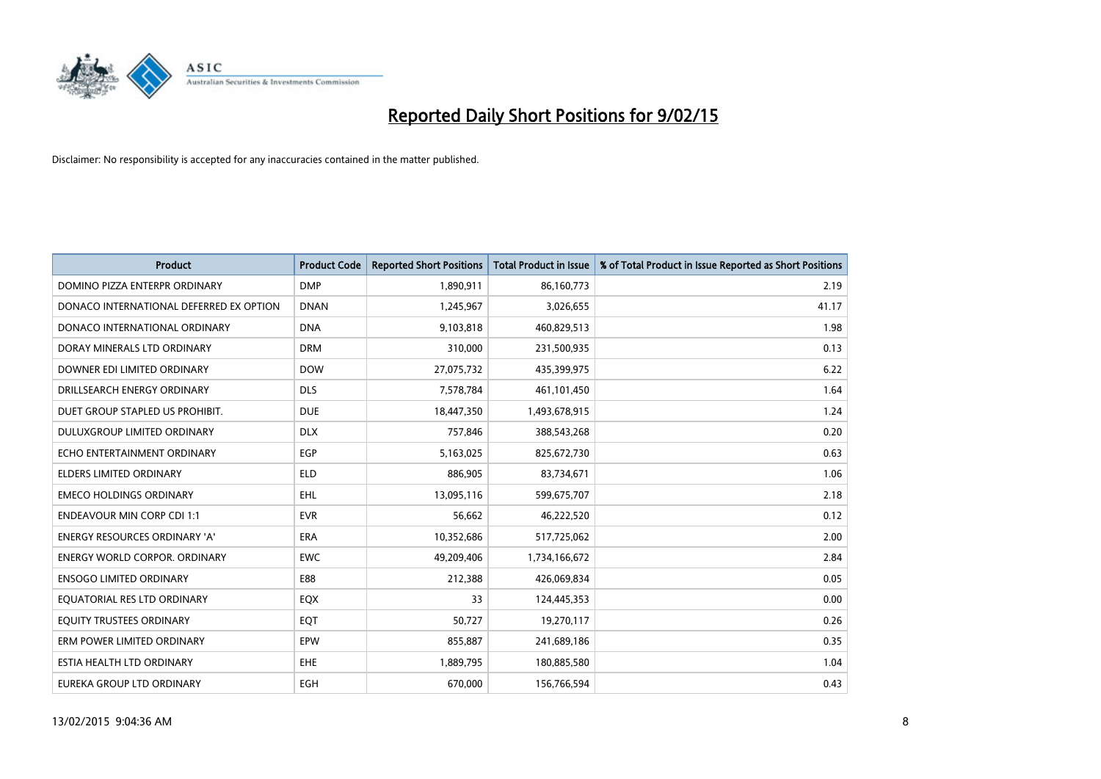

| <b>Product</b>                          | <b>Product Code</b> | <b>Reported Short Positions</b> | <b>Total Product in Issue</b> | % of Total Product in Issue Reported as Short Positions |
|-----------------------------------------|---------------------|---------------------------------|-------------------------------|---------------------------------------------------------|
| DOMINO PIZZA ENTERPR ORDINARY           | <b>DMP</b>          | 1,890,911                       | 86,160,773                    | 2.19                                                    |
| DONACO INTERNATIONAL DEFERRED EX OPTION | <b>DNAN</b>         | 1,245,967                       | 3,026,655                     | 41.17                                                   |
| DONACO INTERNATIONAL ORDINARY           | <b>DNA</b>          | 9,103,818                       | 460,829,513                   | 1.98                                                    |
| DORAY MINERALS LTD ORDINARY             | <b>DRM</b>          | 310,000                         | 231,500,935                   | 0.13                                                    |
| DOWNER EDI LIMITED ORDINARY             | <b>DOW</b>          | 27,075,732                      | 435,399,975                   | 6.22                                                    |
| DRILLSEARCH ENERGY ORDINARY             | <b>DLS</b>          | 7,578,784                       | 461,101,450                   | 1.64                                                    |
| DUET GROUP STAPLED US PROHIBIT.         | <b>DUE</b>          | 18,447,350                      | 1,493,678,915                 | 1.24                                                    |
| DULUXGROUP LIMITED ORDINARY             | <b>DLX</b>          | 757,846                         | 388,543,268                   | 0.20                                                    |
| ECHO ENTERTAINMENT ORDINARY             | <b>EGP</b>          | 5,163,025                       | 825,672,730                   | 0.63                                                    |
| <b>ELDERS LIMITED ORDINARY</b>          | <b>ELD</b>          | 886,905                         | 83,734,671                    | 1.06                                                    |
| <b>EMECO HOLDINGS ORDINARY</b>          | <b>EHL</b>          | 13,095,116                      | 599,675,707                   | 2.18                                                    |
| <b>ENDEAVOUR MIN CORP CDI 1:1</b>       | <b>EVR</b>          | 56,662                          | 46,222,520                    | 0.12                                                    |
| ENERGY RESOURCES ORDINARY 'A'           | <b>ERA</b>          | 10,352,686                      | 517,725,062                   | 2.00                                                    |
| ENERGY WORLD CORPOR. ORDINARY           | <b>EWC</b>          | 49,209,406                      | 1,734,166,672                 | 2.84                                                    |
| <b>ENSOGO LIMITED ORDINARY</b>          | E88                 | 212,388                         | 426,069,834                   | 0.05                                                    |
| EQUATORIAL RES LTD ORDINARY             | EQX                 | 33                              | 124,445,353                   | 0.00                                                    |
| EQUITY TRUSTEES ORDINARY                | EQT                 | 50,727                          | 19,270,117                    | 0.26                                                    |
| ERM POWER LIMITED ORDINARY              | EPW                 | 855,887                         | 241,689,186                   | 0.35                                                    |
| ESTIA HEALTH LTD ORDINARY               | EHE                 | 1,889,795                       | 180,885,580                   | 1.04                                                    |
| EUREKA GROUP LTD ORDINARY               | <b>EGH</b>          | 670,000                         | 156,766,594                   | 0.43                                                    |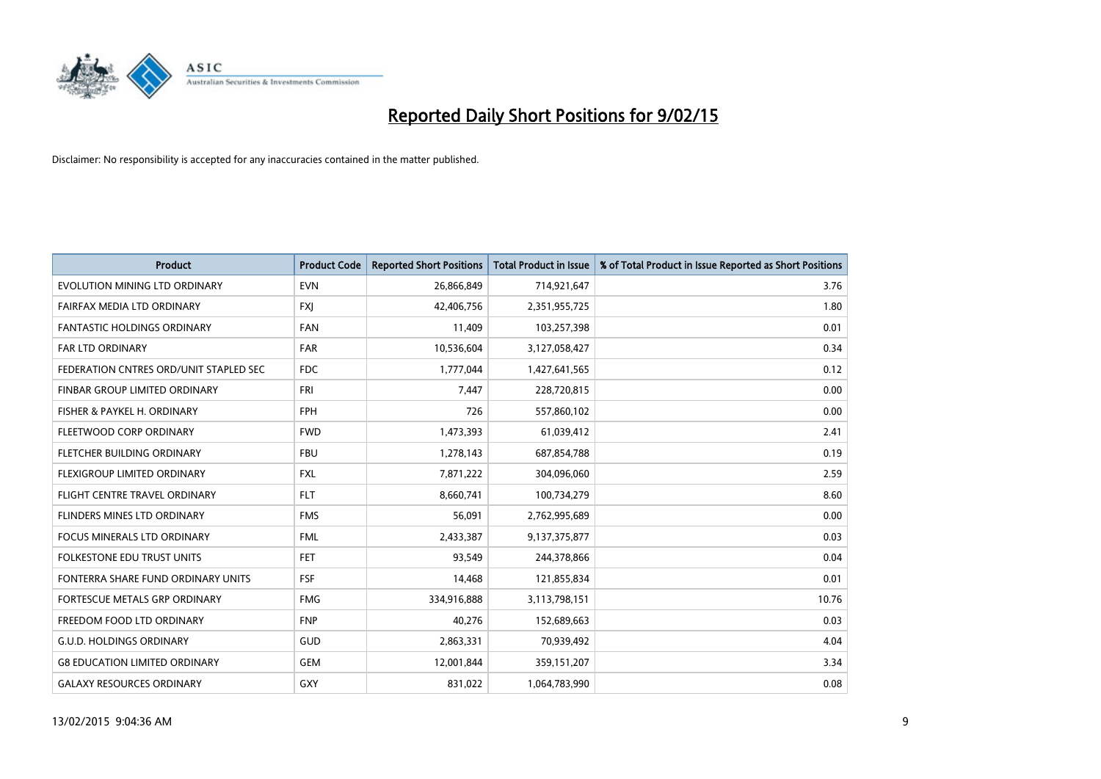

| <b>Product</b>                         | <b>Product Code</b> | <b>Reported Short Positions</b> | <b>Total Product in Issue</b> | % of Total Product in Issue Reported as Short Positions |
|----------------------------------------|---------------------|---------------------------------|-------------------------------|---------------------------------------------------------|
| EVOLUTION MINING LTD ORDINARY          | <b>EVN</b>          | 26,866,849                      | 714,921,647                   | 3.76                                                    |
| FAIRFAX MEDIA LTD ORDINARY             | <b>FXI</b>          | 42,406,756                      | 2,351,955,725                 | 1.80                                                    |
| <b>FANTASTIC HOLDINGS ORDINARY</b>     | <b>FAN</b>          | 11,409                          | 103,257,398                   | 0.01                                                    |
| <b>FAR LTD ORDINARY</b>                | <b>FAR</b>          | 10,536,604                      | 3,127,058,427                 | 0.34                                                    |
| FEDERATION CNTRES ORD/UNIT STAPLED SEC | <b>FDC</b>          | 1,777,044                       | 1,427,641,565                 | 0.12                                                    |
| FINBAR GROUP LIMITED ORDINARY          | <b>FRI</b>          | 7,447                           | 228,720,815                   | 0.00                                                    |
| FISHER & PAYKEL H. ORDINARY            | <b>FPH</b>          | 726                             | 557,860,102                   | 0.00                                                    |
| FLEETWOOD CORP ORDINARY                | <b>FWD</b>          | 1,473,393                       | 61,039,412                    | 2.41                                                    |
| FLETCHER BUILDING ORDINARY             | <b>FBU</b>          | 1,278,143                       | 687,854,788                   | 0.19                                                    |
| FLEXIGROUP LIMITED ORDINARY            | <b>FXL</b>          | 7,871,222                       | 304,096,060                   | 2.59                                                    |
| FLIGHT CENTRE TRAVEL ORDINARY          | <b>FLT</b>          | 8,660,741                       | 100,734,279                   | 8.60                                                    |
| FLINDERS MINES LTD ORDINARY            | <b>FMS</b>          | 56,091                          | 2,762,995,689                 | 0.00                                                    |
| FOCUS MINERALS LTD ORDINARY            | <b>FML</b>          | 2,433,387                       | 9,137,375,877                 | 0.03                                                    |
| <b>FOLKESTONE EDU TRUST UNITS</b>      | <b>FET</b>          | 93,549                          | 244,378,866                   | 0.04                                                    |
| FONTERRA SHARE FUND ORDINARY UNITS     | <b>FSF</b>          | 14,468                          | 121,855,834                   | 0.01                                                    |
| FORTESCUE METALS GRP ORDINARY          | <b>FMG</b>          | 334,916,888                     | 3,113,798,151                 | 10.76                                                   |
| FREEDOM FOOD LTD ORDINARY              | <b>FNP</b>          | 40,276                          | 152,689,663                   | 0.03                                                    |
| <b>G.U.D. HOLDINGS ORDINARY</b>        | GUD                 | 2,863,331                       | 70,939,492                    | 4.04                                                    |
| <b>G8 EDUCATION LIMITED ORDINARY</b>   | <b>GEM</b>          | 12,001,844                      | 359,151,207                   | 3.34                                                    |
| <b>GALAXY RESOURCES ORDINARY</b>       | <b>GXY</b>          | 831,022                         | 1,064,783,990                 | 0.08                                                    |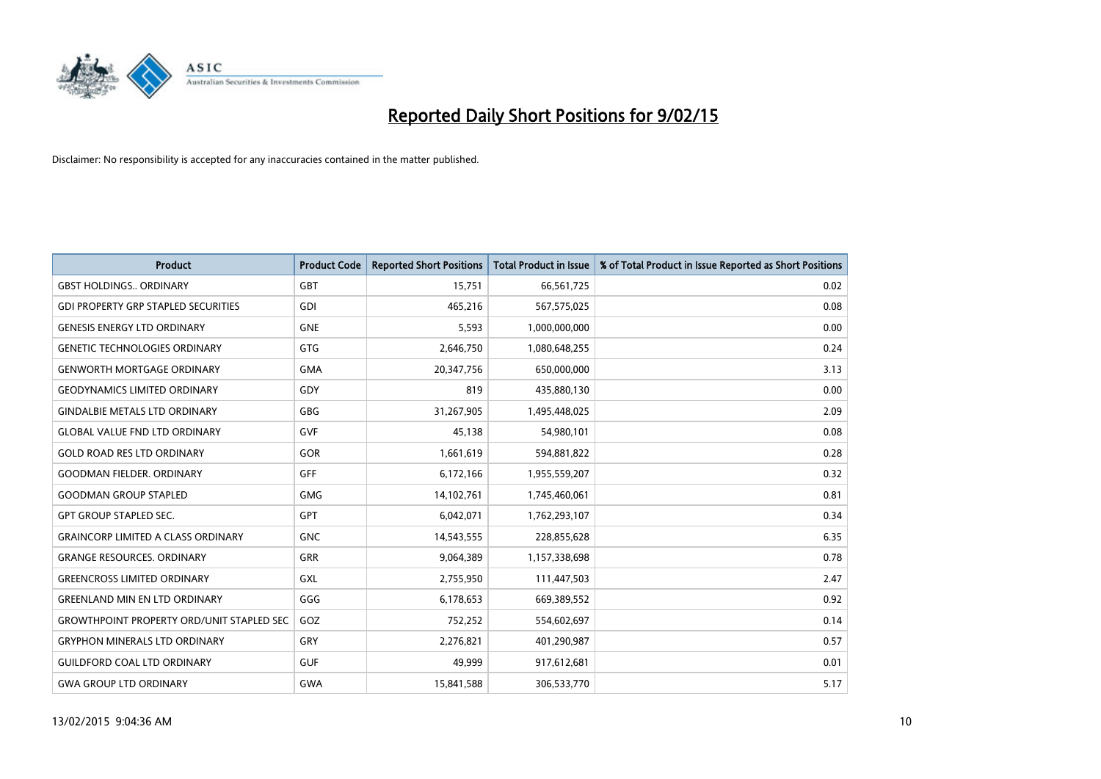

| <b>Product</b>                                   | <b>Product Code</b> | <b>Reported Short Positions</b> | <b>Total Product in Issue</b> | % of Total Product in Issue Reported as Short Positions |
|--------------------------------------------------|---------------------|---------------------------------|-------------------------------|---------------------------------------------------------|
| <b>GBST HOLDINGS ORDINARY</b>                    | <b>GBT</b>          | 15,751                          | 66,561,725                    | 0.02                                                    |
| <b>GDI PROPERTY GRP STAPLED SECURITIES</b>       | <b>GDI</b>          | 465,216                         | 567,575,025                   | 0.08                                                    |
| <b>GENESIS ENERGY LTD ORDINARY</b>               | <b>GNE</b>          | 5,593                           | 1,000,000,000                 | 0.00                                                    |
| <b>GENETIC TECHNOLOGIES ORDINARY</b>             | <b>GTG</b>          | 2,646,750                       | 1,080,648,255                 | 0.24                                                    |
| <b>GENWORTH MORTGAGE ORDINARY</b>                | <b>GMA</b>          | 20,347,756                      | 650,000,000                   | 3.13                                                    |
| <b>GEODYNAMICS LIMITED ORDINARY</b>              | GDY                 | 819                             | 435,880,130                   | 0.00                                                    |
| <b>GINDALBIE METALS LTD ORDINARY</b>             | <b>GBG</b>          | 31,267,905                      | 1,495,448,025                 | 2.09                                                    |
| <b>GLOBAL VALUE FND LTD ORDINARY</b>             | <b>GVF</b>          | 45,138                          | 54,980,101                    | 0.08                                                    |
| <b>GOLD ROAD RES LTD ORDINARY</b>                | GOR                 | 1,661,619                       | 594,881,822                   | 0.28                                                    |
| <b>GOODMAN FIELDER, ORDINARY</b>                 | GFF                 | 6,172,166                       | 1,955,559,207                 | 0.32                                                    |
| <b>GOODMAN GROUP STAPLED</b>                     | <b>GMG</b>          | 14,102,761                      | 1,745,460,061                 | 0.81                                                    |
| <b>GPT GROUP STAPLED SEC.</b>                    | <b>GPT</b>          | 6,042,071                       | 1,762,293,107                 | 0.34                                                    |
| <b>GRAINCORP LIMITED A CLASS ORDINARY</b>        | <b>GNC</b>          | 14,543,555                      | 228,855,628                   | 6.35                                                    |
| <b>GRANGE RESOURCES, ORDINARY</b>                | <b>GRR</b>          | 9,064,389                       | 1,157,338,698                 | 0.78                                                    |
| <b>GREENCROSS LIMITED ORDINARY</b>               | <b>GXL</b>          | 2,755,950                       | 111,447,503                   | 2.47                                                    |
| <b>GREENLAND MIN EN LTD ORDINARY</b>             | GGG                 | 6,178,653                       | 669,389,552                   | 0.92                                                    |
| <b>GROWTHPOINT PROPERTY ORD/UNIT STAPLED SEC</b> | GOZ                 | 752,252                         | 554,602,697                   | 0.14                                                    |
| <b>GRYPHON MINERALS LTD ORDINARY</b>             | GRY                 | 2,276,821                       | 401,290,987                   | 0.57                                                    |
| <b>GUILDFORD COAL LTD ORDINARY</b>               | <b>GUF</b>          | 49,999                          | 917,612,681                   | 0.01                                                    |
| <b>GWA GROUP LTD ORDINARY</b>                    | <b>GWA</b>          | 15,841,588                      | 306,533,770                   | 5.17                                                    |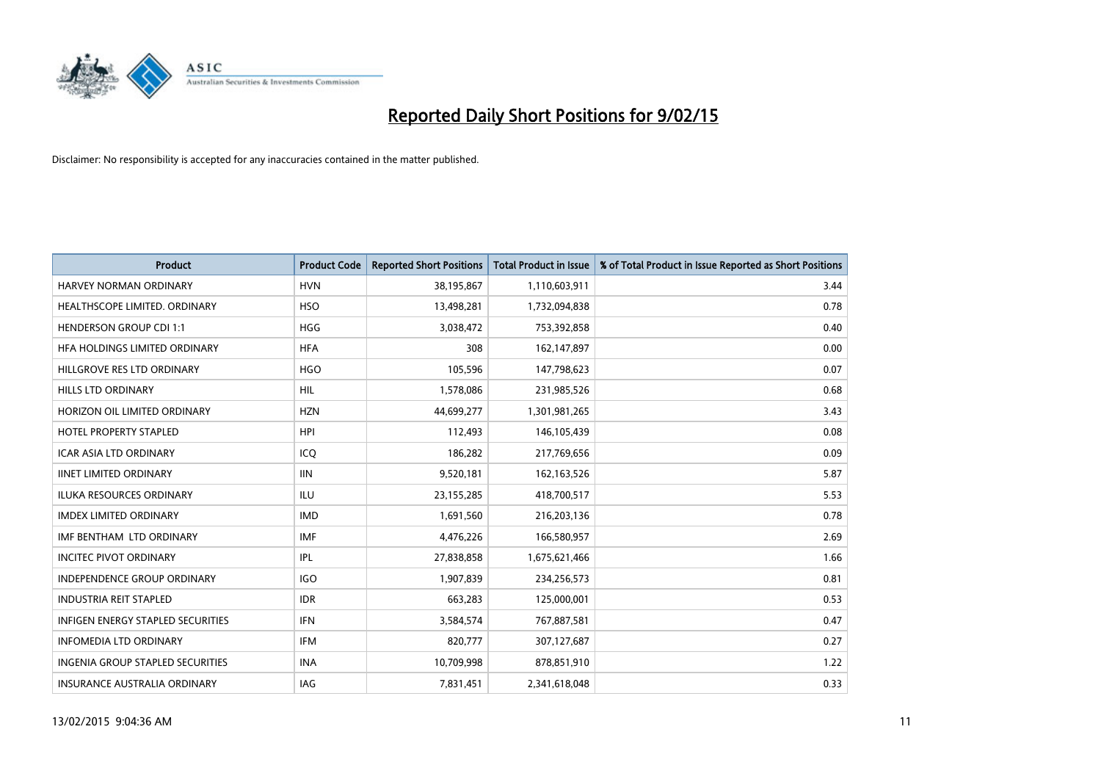

| <b>Product</b>                           | <b>Product Code</b> | <b>Reported Short Positions</b> | <b>Total Product in Issue</b> | % of Total Product in Issue Reported as Short Positions |
|------------------------------------------|---------------------|---------------------------------|-------------------------------|---------------------------------------------------------|
| <b>HARVEY NORMAN ORDINARY</b>            | <b>HVN</b>          | 38,195,867                      | 1,110,603,911                 | 3.44                                                    |
| HEALTHSCOPE LIMITED. ORDINARY            | <b>HSO</b>          | 13,498,281                      | 1,732,094,838                 | 0.78                                                    |
| <b>HENDERSON GROUP CDI 1:1</b>           | HGG                 | 3,038,472                       | 753,392,858                   | 0.40                                                    |
| HFA HOLDINGS LIMITED ORDINARY            | <b>HFA</b>          | 308                             | 162,147,897                   | 0.00                                                    |
| HILLGROVE RES LTD ORDINARY               | <b>HGO</b>          | 105,596                         | 147,798,623                   | 0.07                                                    |
| <b>HILLS LTD ORDINARY</b>                | <b>HIL</b>          | 1,578,086                       | 231,985,526                   | 0.68                                                    |
| HORIZON OIL LIMITED ORDINARY             | <b>HZN</b>          | 44,699,277                      | 1,301,981,265                 | 3.43                                                    |
| <b>HOTEL PROPERTY STAPLED</b>            | <b>HPI</b>          | 112,493                         | 146,105,439                   | 0.08                                                    |
| ICAR ASIA LTD ORDINARY                   | ICQ                 | 186,282                         | 217,769,656                   | 0.09                                                    |
| <b>IINET LIMITED ORDINARY</b>            | <b>IIN</b>          | 9,520,181                       | 162,163,526                   | 5.87                                                    |
| <b>ILUKA RESOURCES ORDINARY</b>          | ILU                 | 23,155,285                      | 418,700,517                   | 5.53                                                    |
| <b>IMDEX LIMITED ORDINARY</b>            | <b>IMD</b>          | 1,691,560                       | 216,203,136                   | 0.78                                                    |
| IMF BENTHAM LTD ORDINARY                 | <b>IMF</b>          | 4,476,226                       | 166,580,957                   | 2.69                                                    |
| <b>INCITEC PIVOT ORDINARY</b>            | IPL                 | 27,838,858                      | 1,675,621,466                 | 1.66                                                    |
| INDEPENDENCE GROUP ORDINARY              | <b>IGO</b>          | 1,907,839                       | 234,256,573                   | 0.81                                                    |
| <b>INDUSTRIA REIT STAPLED</b>            | <b>IDR</b>          | 663,283                         | 125,000,001                   | 0.53                                                    |
| <b>INFIGEN ENERGY STAPLED SECURITIES</b> | <b>IFN</b>          | 3,584,574                       | 767,887,581                   | 0.47                                                    |
| INFOMEDIA LTD ORDINARY                   | <b>IFM</b>          | 820,777                         | 307,127,687                   | 0.27                                                    |
| <b>INGENIA GROUP STAPLED SECURITIES</b>  | <b>INA</b>          | 10,709,998                      | 878,851,910                   | 1.22                                                    |
| INSURANCE AUSTRALIA ORDINARY             | IAG                 | 7,831,451                       | 2,341,618,048                 | 0.33                                                    |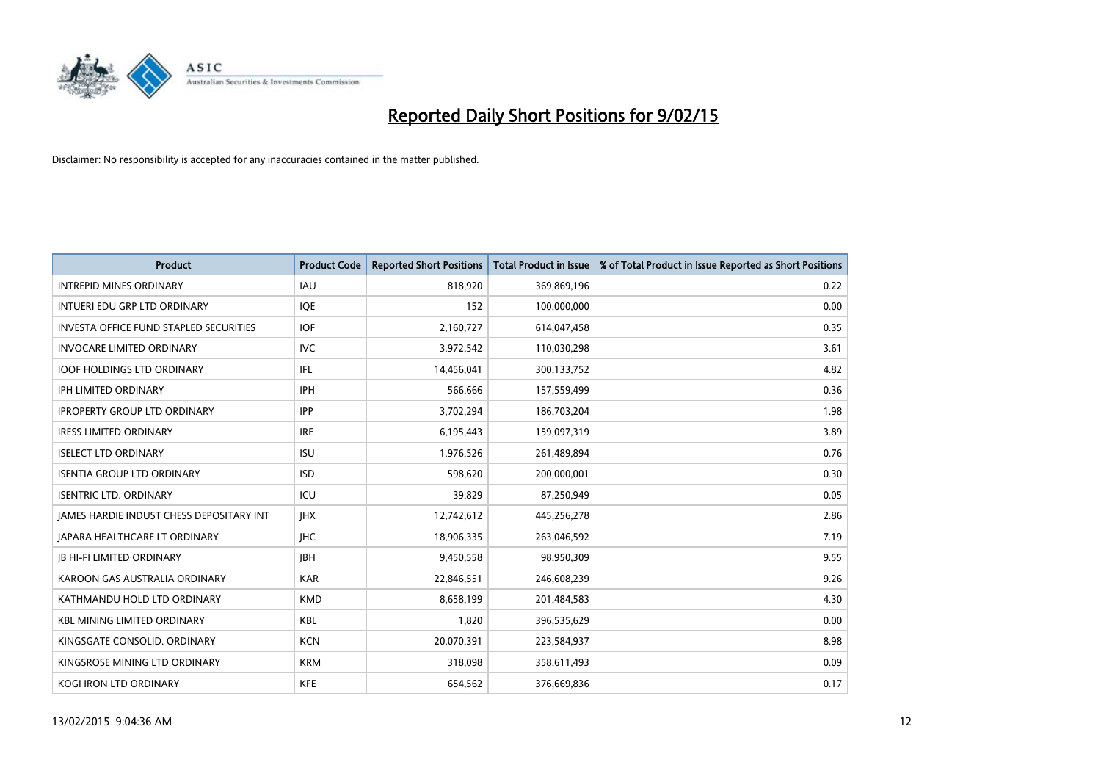

| <b>Product</b>                                | <b>Product Code</b> | <b>Reported Short Positions</b> | <b>Total Product in Issue</b> | % of Total Product in Issue Reported as Short Positions |
|-----------------------------------------------|---------------------|---------------------------------|-------------------------------|---------------------------------------------------------|
| <b>INTREPID MINES ORDINARY</b>                | <b>IAU</b>          | 818,920                         | 369,869,196                   | 0.22                                                    |
| INTUERI EDU GRP LTD ORDINARY                  | <b>IOE</b>          | 152                             | 100,000,000                   | 0.00                                                    |
| <b>INVESTA OFFICE FUND STAPLED SECURITIES</b> | <b>IOF</b>          | 2,160,727                       | 614,047,458                   | 0.35                                                    |
| <b>INVOCARE LIMITED ORDINARY</b>              | <b>IVC</b>          | 3,972,542                       | 110,030,298                   | 3.61                                                    |
| <b>IOOF HOLDINGS LTD ORDINARY</b>             | IFL                 | 14,456,041                      | 300,133,752                   | 4.82                                                    |
| <b>IPH LIMITED ORDINARY</b>                   | IPH                 | 566,666                         | 157,559,499                   | 0.36                                                    |
| <b>IPROPERTY GROUP LTD ORDINARY</b>           | <b>IPP</b>          | 3,702,294                       | 186,703,204                   | 1.98                                                    |
| <b>IRESS LIMITED ORDINARY</b>                 | <b>IRE</b>          | 6,195,443                       | 159,097,319                   | 3.89                                                    |
| <b>ISELECT LTD ORDINARY</b>                   | <b>ISU</b>          | 1,976,526                       | 261,489,894                   | 0.76                                                    |
| <b>ISENTIA GROUP LTD ORDINARY</b>             | <b>ISD</b>          | 598,620                         | 200,000,001                   | 0.30                                                    |
| <b>ISENTRIC LTD. ORDINARY</b>                 | ICU                 | 39,829                          | 87,250,949                    | 0.05                                                    |
| JAMES HARDIE INDUST CHESS DEPOSITARY INT      | <b>IHX</b>          | 12,742,612                      | 445,256,278                   | 2.86                                                    |
| <b>JAPARA HEALTHCARE LT ORDINARY</b>          | <b>IHC</b>          | 18,906,335                      | 263,046,592                   | 7.19                                                    |
| <b>JB HI-FI LIMITED ORDINARY</b>              | <b>JBH</b>          | 9,450,558                       | 98,950,309                    | 9.55                                                    |
| KAROON GAS AUSTRALIA ORDINARY                 | <b>KAR</b>          | 22,846,551                      | 246,608,239                   | 9.26                                                    |
| KATHMANDU HOLD LTD ORDINARY                   | <b>KMD</b>          | 8,658,199                       | 201,484,583                   | 4.30                                                    |
| <b>KBL MINING LIMITED ORDINARY</b>            | KBL                 | 1,820                           | 396,535,629                   | 0.00                                                    |
| KINGSGATE CONSOLID. ORDINARY                  | <b>KCN</b>          | 20,070,391                      | 223,584,937                   | 8.98                                                    |
| KINGSROSE MINING LTD ORDINARY                 | <b>KRM</b>          | 318,098                         | 358,611,493                   | 0.09                                                    |
| KOGI IRON LTD ORDINARY                        | KFE                 | 654,562                         | 376,669,836                   | 0.17                                                    |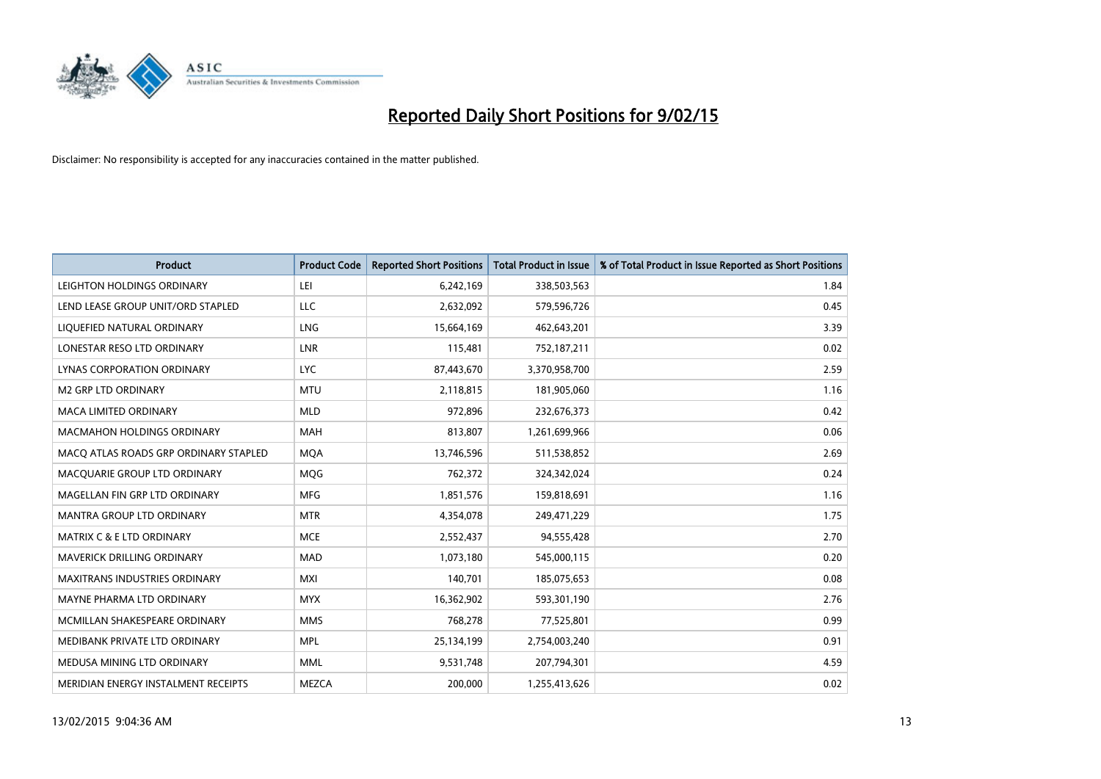

| <b>Product</b>                        | <b>Product Code</b> | <b>Reported Short Positions</b> | <b>Total Product in Issue</b> | % of Total Product in Issue Reported as Short Positions |
|---------------------------------------|---------------------|---------------------------------|-------------------------------|---------------------------------------------------------|
| LEIGHTON HOLDINGS ORDINARY            | LEI                 | 6,242,169                       | 338,503,563                   | 1.84                                                    |
| LEND LEASE GROUP UNIT/ORD STAPLED     | LLC                 | 2,632,092                       | 579,596,726                   | 0.45                                                    |
| LIQUEFIED NATURAL ORDINARY            | <b>LNG</b>          | 15,664,169                      | 462,643,201                   | 3.39                                                    |
| LONESTAR RESO LTD ORDINARY            | <b>LNR</b>          | 115,481                         | 752,187,211                   | 0.02                                                    |
| <b>LYNAS CORPORATION ORDINARY</b>     | <b>LYC</b>          | 87,443,670                      | 3,370,958,700                 | 2.59                                                    |
| <b>M2 GRP LTD ORDINARY</b>            | <b>MTU</b>          | 2,118,815                       | 181,905,060                   | 1.16                                                    |
| <b>MACA LIMITED ORDINARY</b>          | <b>MLD</b>          | 972,896                         | 232,676,373                   | 0.42                                                    |
| <b>MACMAHON HOLDINGS ORDINARY</b>     | MAH                 | 813,807                         | 1,261,699,966                 | 0.06                                                    |
| MACO ATLAS ROADS GRP ORDINARY STAPLED | <b>MOA</b>          | 13,746,596                      | 511,538,852                   | 2.69                                                    |
| MACOUARIE GROUP LTD ORDINARY          | <b>MOG</b>          | 762,372                         | 324,342,024                   | 0.24                                                    |
| MAGELLAN FIN GRP LTD ORDINARY         | <b>MFG</b>          | 1,851,576                       | 159,818,691                   | 1.16                                                    |
| <b>MANTRA GROUP LTD ORDINARY</b>      | <b>MTR</b>          | 4,354,078                       | 249,471,229                   | 1.75                                                    |
| <b>MATRIX C &amp; E LTD ORDINARY</b>  | <b>MCE</b>          | 2,552,437                       | 94,555,428                    | 2.70                                                    |
| MAVERICK DRILLING ORDINARY            | <b>MAD</b>          | 1,073,180                       | 545,000,115                   | 0.20                                                    |
| <b>MAXITRANS INDUSTRIES ORDINARY</b>  | <b>MXI</b>          | 140,701                         | 185,075,653                   | 0.08                                                    |
| MAYNE PHARMA LTD ORDINARY             | <b>MYX</b>          | 16,362,902                      | 593,301,190                   | 2.76                                                    |
| MCMILLAN SHAKESPEARE ORDINARY         | <b>MMS</b>          | 768,278                         | 77,525,801                    | 0.99                                                    |
| MEDIBANK PRIVATE LTD ORDINARY         | <b>MPL</b>          | 25,134,199                      | 2,754,003,240                 | 0.91                                                    |
| MEDUSA MINING LTD ORDINARY            | <b>MML</b>          | 9,531,748                       | 207,794,301                   | 4.59                                                    |
| MERIDIAN ENERGY INSTALMENT RECEIPTS   | <b>MEZCA</b>        | 200,000                         | 1,255,413,626                 | 0.02                                                    |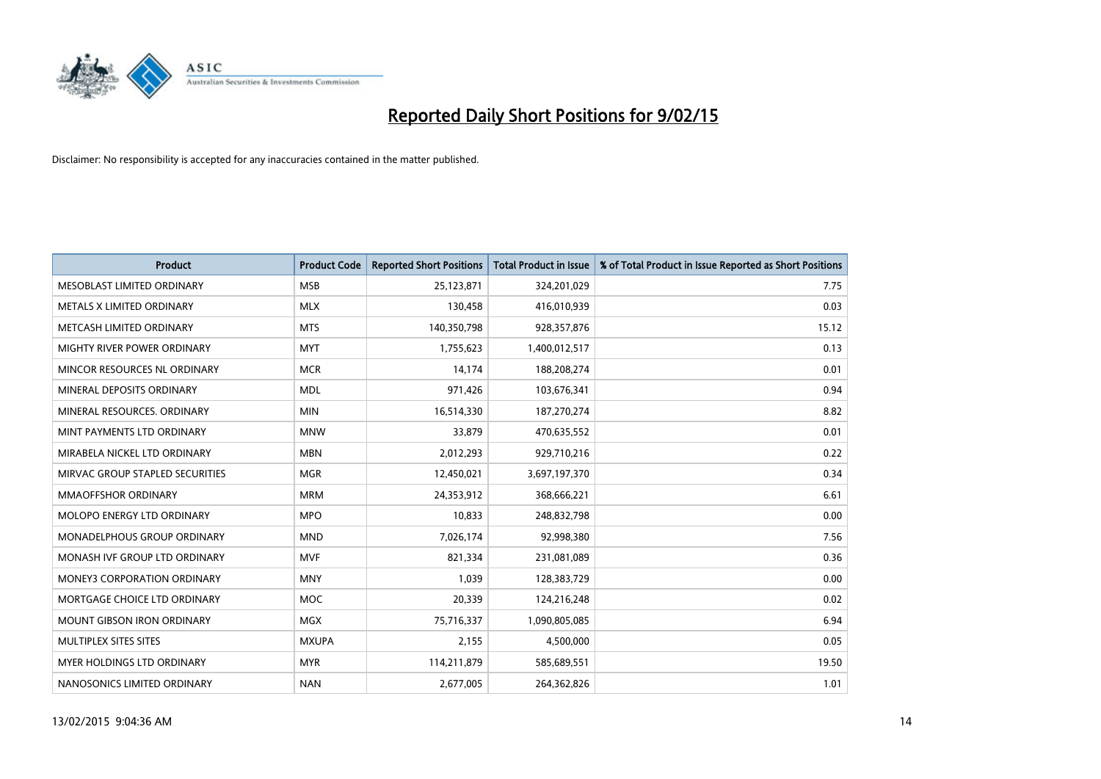

| <b>Product</b>                     | <b>Product Code</b> | <b>Reported Short Positions</b> | <b>Total Product in Issue</b> | % of Total Product in Issue Reported as Short Positions |
|------------------------------------|---------------------|---------------------------------|-------------------------------|---------------------------------------------------------|
| MESOBLAST LIMITED ORDINARY         | <b>MSB</b>          | 25,123,871                      | 324,201,029                   | 7.75                                                    |
| METALS X LIMITED ORDINARY          | <b>MLX</b>          | 130,458                         | 416,010,939                   | 0.03                                                    |
| METCASH LIMITED ORDINARY           | <b>MTS</b>          | 140,350,798                     | 928,357,876                   | 15.12                                                   |
| MIGHTY RIVER POWER ORDINARY        | <b>MYT</b>          | 1,755,623                       | 1,400,012,517                 | 0.13                                                    |
| MINCOR RESOURCES NL ORDINARY       | <b>MCR</b>          | 14,174                          | 188,208,274                   | 0.01                                                    |
| MINERAL DEPOSITS ORDINARY          | <b>MDL</b>          | 971,426                         | 103,676,341                   | 0.94                                                    |
| MINERAL RESOURCES. ORDINARY        | <b>MIN</b>          | 16,514,330                      | 187,270,274                   | 8.82                                                    |
| MINT PAYMENTS LTD ORDINARY         | <b>MNW</b>          | 33,879                          | 470,635,552                   | 0.01                                                    |
| MIRABELA NICKEL LTD ORDINARY       | <b>MBN</b>          | 2,012,293                       | 929,710,216                   | 0.22                                                    |
| MIRVAC GROUP STAPLED SECURITIES    | <b>MGR</b>          | 12,450,021                      | 3,697,197,370                 | 0.34                                                    |
| MMAOFFSHOR ORDINARY                | <b>MRM</b>          | 24,353,912                      | 368,666,221                   | 6.61                                                    |
| MOLOPO ENERGY LTD ORDINARY         | <b>MPO</b>          | 10,833                          | 248,832,798                   | 0.00                                                    |
| MONADELPHOUS GROUP ORDINARY        | <b>MND</b>          | 7,026,174                       | 92,998,380                    | 7.56                                                    |
| MONASH IVF GROUP LTD ORDINARY      | <b>MVF</b>          | 821,334                         | 231,081,089                   | 0.36                                                    |
| <b>MONEY3 CORPORATION ORDINARY</b> | <b>MNY</b>          | 1,039                           | 128,383,729                   | 0.00                                                    |
| MORTGAGE CHOICE LTD ORDINARY       | <b>MOC</b>          | 20,339                          | 124,216,248                   | 0.02                                                    |
| <b>MOUNT GIBSON IRON ORDINARY</b>  | <b>MGX</b>          | 75,716,337                      | 1,090,805,085                 | 6.94                                                    |
| MULTIPLEX SITES SITES              | <b>MXUPA</b>        | 2,155                           | 4,500,000                     | 0.05                                                    |
| MYER HOLDINGS LTD ORDINARY         | <b>MYR</b>          | 114,211,879                     | 585,689,551                   | 19.50                                                   |
| NANOSONICS LIMITED ORDINARY        | <b>NAN</b>          | 2,677,005                       | 264,362,826                   | 1.01                                                    |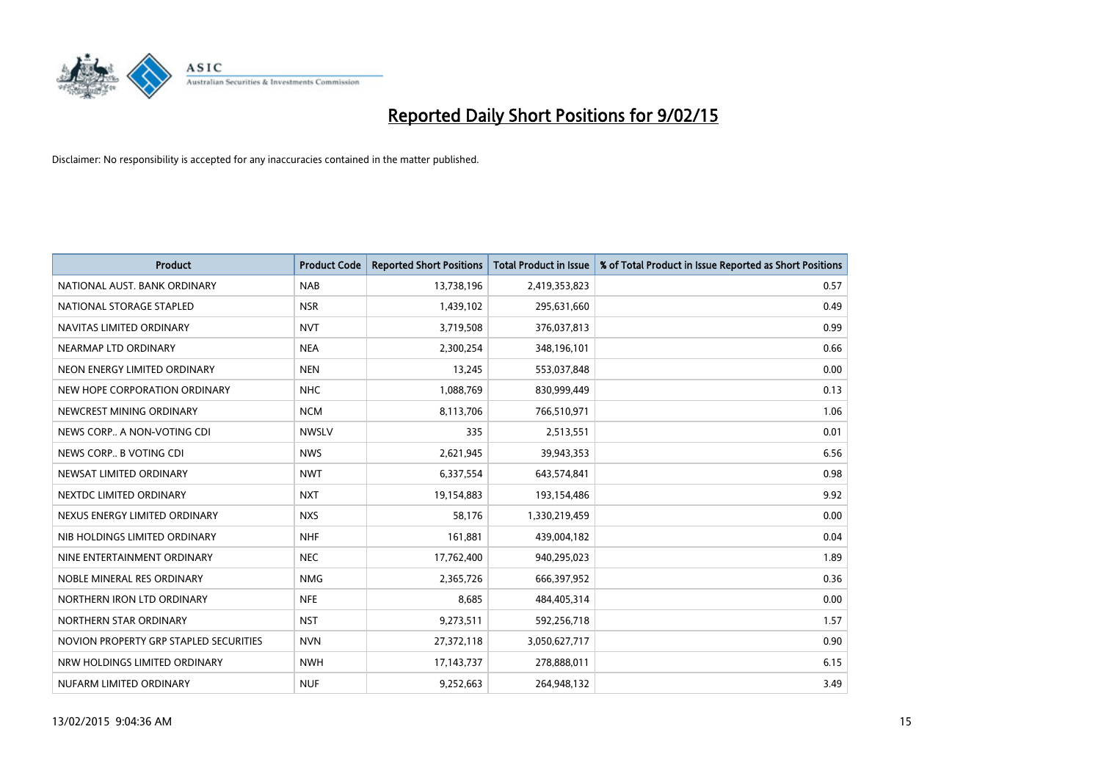

| <b>Product</b>                         | <b>Product Code</b> | <b>Reported Short Positions</b> | <b>Total Product in Issue</b> | % of Total Product in Issue Reported as Short Positions |
|----------------------------------------|---------------------|---------------------------------|-------------------------------|---------------------------------------------------------|
| NATIONAL AUST. BANK ORDINARY           | <b>NAB</b>          | 13,738,196                      | 2,419,353,823                 | 0.57                                                    |
| NATIONAL STORAGE STAPLED               | <b>NSR</b>          | 1,439,102                       | 295,631,660                   | 0.49                                                    |
| NAVITAS LIMITED ORDINARY               | <b>NVT</b>          | 3,719,508                       | 376,037,813                   | 0.99                                                    |
| NEARMAP LTD ORDINARY                   | <b>NEA</b>          | 2,300,254                       | 348,196,101                   | 0.66                                                    |
| NEON ENERGY LIMITED ORDINARY           | <b>NEN</b>          | 13,245                          | 553,037,848                   | 0.00                                                    |
| NEW HOPE CORPORATION ORDINARY          | <b>NHC</b>          | 1,088,769                       | 830,999,449                   | 0.13                                                    |
| NEWCREST MINING ORDINARY               | <b>NCM</b>          | 8,113,706                       | 766,510,971                   | 1.06                                                    |
| NEWS CORP A NON-VOTING CDI             | <b>NWSLV</b>        | 335                             | 2,513,551                     | 0.01                                                    |
| NEWS CORP B VOTING CDI                 | <b>NWS</b>          | 2,621,945                       | 39,943,353                    | 6.56                                                    |
| NEWSAT LIMITED ORDINARY                | <b>NWT</b>          | 6,337,554                       | 643,574,841                   | 0.98                                                    |
| NEXTDC LIMITED ORDINARY                | <b>NXT</b>          | 19,154,883                      | 193,154,486                   | 9.92                                                    |
| NEXUS ENERGY LIMITED ORDINARY          | <b>NXS</b>          | 58,176                          | 1,330,219,459                 | 0.00                                                    |
| NIB HOLDINGS LIMITED ORDINARY          | <b>NHF</b>          | 161,881                         | 439,004,182                   | 0.04                                                    |
| NINE ENTERTAINMENT ORDINARY            | <b>NEC</b>          | 17,762,400                      | 940,295,023                   | 1.89                                                    |
| NOBLE MINERAL RES ORDINARY             | <b>NMG</b>          | 2,365,726                       | 666,397,952                   | 0.36                                                    |
| NORTHERN IRON LTD ORDINARY             | <b>NFE</b>          | 8,685                           | 484,405,314                   | 0.00                                                    |
| NORTHERN STAR ORDINARY                 | <b>NST</b>          | 9,273,511                       | 592,256,718                   | 1.57                                                    |
| NOVION PROPERTY GRP STAPLED SECURITIES | <b>NVN</b>          | 27,372,118                      | 3,050,627,717                 | 0.90                                                    |
| NRW HOLDINGS LIMITED ORDINARY          | <b>NWH</b>          | 17, 143, 737                    | 278,888,011                   | 6.15                                                    |
| NUFARM LIMITED ORDINARY                | <b>NUF</b>          | 9,252,663                       | 264,948,132                   | 3.49                                                    |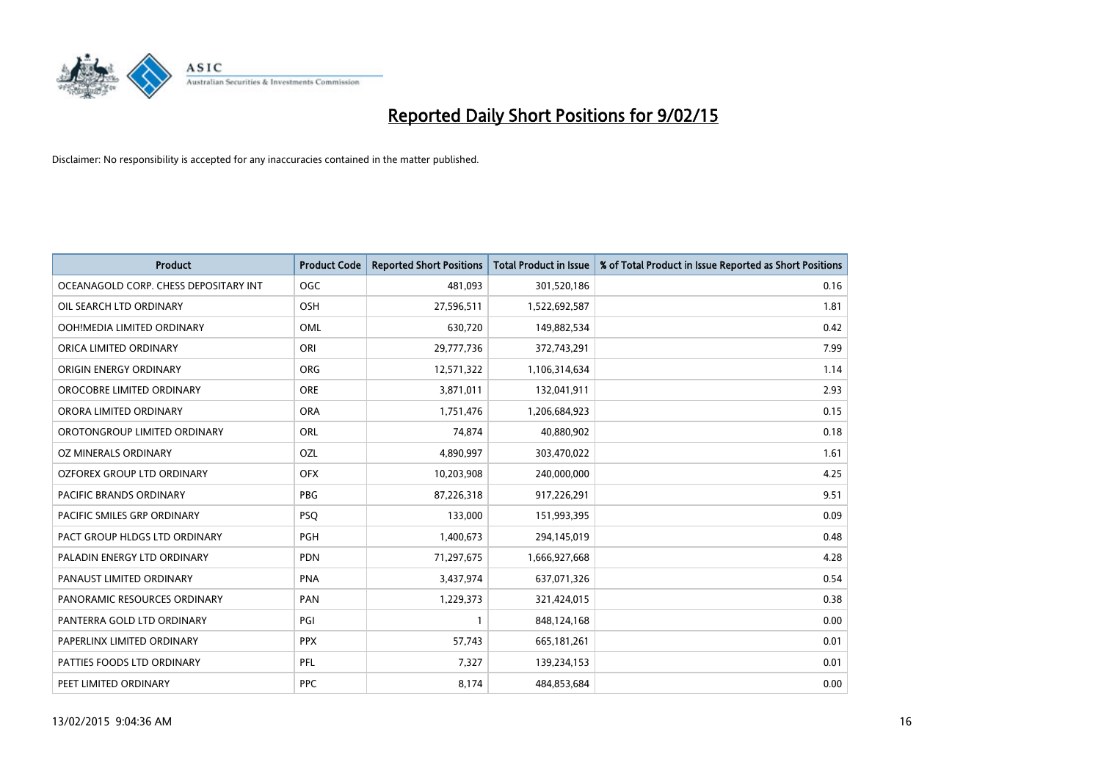

| <b>Product</b>                        | <b>Product Code</b> | <b>Reported Short Positions</b> | <b>Total Product in Issue</b> | % of Total Product in Issue Reported as Short Positions |
|---------------------------------------|---------------------|---------------------------------|-------------------------------|---------------------------------------------------------|
| OCEANAGOLD CORP. CHESS DEPOSITARY INT | <b>OGC</b>          | 481,093                         | 301,520,186                   | 0.16                                                    |
| OIL SEARCH LTD ORDINARY               | OSH                 | 27,596,511                      | 1,522,692,587                 | 1.81                                                    |
| OOH!MEDIA LIMITED ORDINARY            | <b>OML</b>          | 630,720                         | 149,882,534                   | 0.42                                                    |
| ORICA LIMITED ORDINARY                | ORI                 | 29,777,736                      | 372,743,291                   | 7.99                                                    |
| ORIGIN ENERGY ORDINARY                | <b>ORG</b>          | 12,571,322                      | 1,106,314,634                 | 1.14                                                    |
| OROCOBRE LIMITED ORDINARY             | <b>ORE</b>          | 3,871,011                       | 132,041,911                   | 2.93                                                    |
| ORORA LIMITED ORDINARY                | <b>ORA</b>          | 1,751,476                       | 1,206,684,923                 | 0.15                                                    |
| OROTONGROUP LIMITED ORDINARY          | ORL                 | 74,874                          | 40,880,902                    | 0.18                                                    |
| OZ MINERALS ORDINARY                  | OZL                 | 4,890,997                       | 303,470,022                   | 1.61                                                    |
| OZFOREX GROUP LTD ORDINARY            | <b>OFX</b>          | 10,203,908                      | 240,000,000                   | 4.25                                                    |
| PACIFIC BRANDS ORDINARY               | <b>PBG</b>          | 87,226,318                      | 917,226,291                   | 9.51                                                    |
| PACIFIC SMILES GRP ORDINARY           | <b>PSQ</b>          | 133,000                         | 151,993,395                   | 0.09                                                    |
| PACT GROUP HLDGS LTD ORDINARY         | PGH                 | 1,400,673                       | 294,145,019                   | 0.48                                                    |
| PALADIN ENERGY LTD ORDINARY           | <b>PDN</b>          | 71,297,675                      | 1,666,927,668                 | 4.28                                                    |
| PANAUST LIMITED ORDINARY              | <b>PNA</b>          | 3,437,974                       | 637,071,326                   | 0.54                                                    |
| PANORAMIC RESOURCES ORDINARY          | PAN                 | 1,229,373                       | 321,424,015                   | 0.38                                                    |
| PANTERRA GOLD LTD ORDINARY            | PGI                 | $\mathbf{1}$                    | 848,124,168                   | 0.00                                                    |
| PAPERLINX LIMITED ORDINARY            | <b>PPX</b>          | 57,743                          | 665,181,261                   | 0.01                                                    |
| PATTIES FOODS LTD ORDINARY            | PFL                 | 7,327                           | 139,234,153                   | 0.01                                                    |
| PEET LIMITED ORDINARY                 | <b>PPC</b>          | 8,174                           | 484,853,684                   | 0.00                                                    |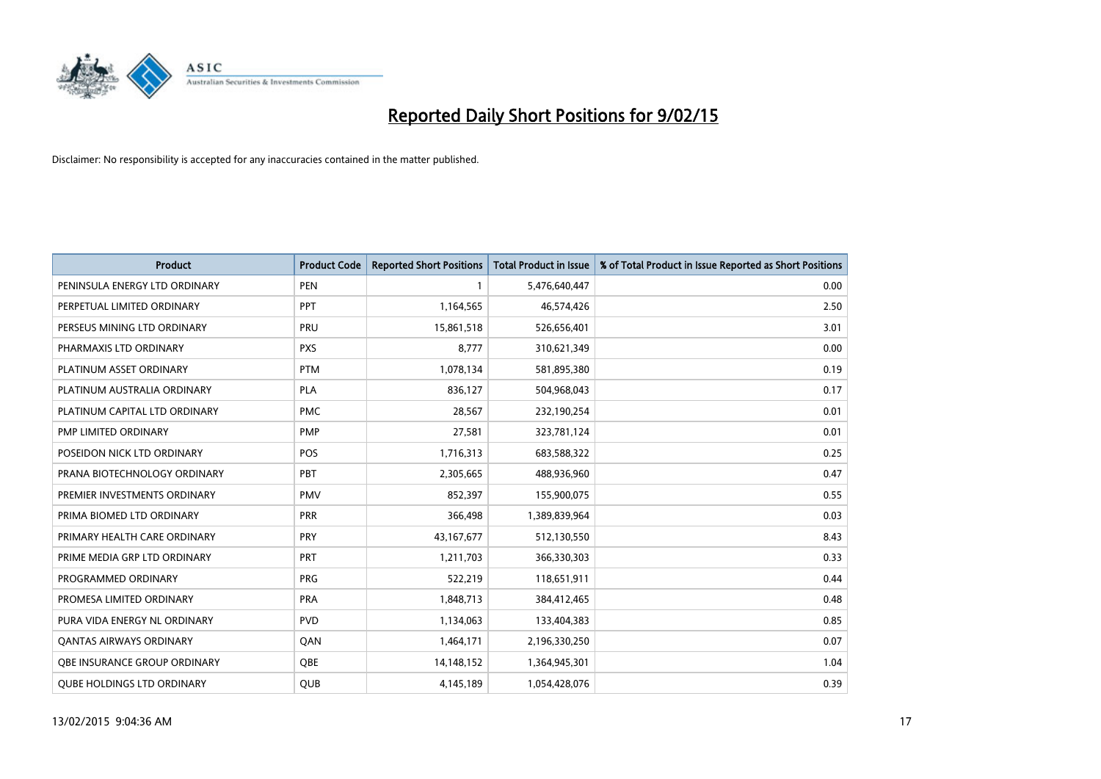

| <b>Product</b>                    | <b>Product Code</b> | <b>Reported Short Positions</b> | <b>Total Product in Issue</b> | % of Total Product in Issue Reported as Short Positions |
|-----------------------------------|---------------------|---------------------------------|-------------------------------|---------------------------------------------------------|
| PENINSULA ENERGY LTD ORDINARY     | <b>PEN</b>          | 1                               | 5,476,640,447                 | 0.00                                                    |
| PERPETUAL LIMITED ORDINARY        | <b>PPT</b>          | 1,164,565                       | 46,574,426                    | 2.50                                                    |
| PERSEUS MINING LTD ORDINARY       | <b>PRU</b>          | 15,861,518                      | 526,656,401                   | 3.01                                                    |
| PHARMAXIS LTD ORDINARY            | <b>PXS</b>          | 8,777                           | 310,621,349                   | 0.00                                                    |
| PLATINUM ASSET ORDINARY           | <b>PTM</b>          | 1,078,134                       | 581,895,380                   | 0.19                                                    |
| PLATINUM AUSTRALIA ORDINARY       | <b>PLA</b>          | 836,127                         | 504,968,043                   | 0.17                                                    |
| PLATINUM CAPITAL LTD ORDINARY     | <b>PMC</b>          | 28,567                          | 232,190,254                   | 0.01                                                    |
| PMP LIMITED ORDINARY              | <b>PMP</b>          | 27,581                          | 323,781,124                   | 0.01                                                    |
| POSEIDON NICK LTD ORDINARY        | <b>POS</b>          | 1,716,313                       | 683,588,322                   | 0.25                                                    |
| PRANA BIOTECHNOLOGY ORDINARY      | <b>PBT</b>          | 2,305,665                       | 488,936,960                   | 0.47                                                    |
| PREMIER INVESTMENTS ORDINARY      | <b>PMV</b>          | 852,397                         | 155,900,075                   | 0.55                                                    |
| PRIMA BIOMED LTD ORDINARY         | <b>PRR</b>          | 366,498                         | 1,389,839,964                 | 0.03                                                    |
| PRIMARY HEALTH CARE ORDINARY      | <b>PRY</b>          | 43,167,677                      | 512,130,550                   | 8.43                                                    |
| PRIME MEDIA GRP LTD ORDINARY      | <b>PRT</b>          | 1,211,703                       | 366,330,303                   | 0.33                                                    |
| PROGRAMMED ORDINARY               | <b>PRG</b>          | 522,219                         | 118,651,911                   | 0.44                                                    |
| PROMESA LIMITED ORDINARY          | <b>PRA</b>          | 1,848,713                       | 384,412,465                   | 0.48                                                    |
| PURA VIDA ENERGY NL ORDINARY      | <b>PVD</b>          | 1,134,063                       | 133,404,383                   | 0.85                                                    |
| <b>QANTAS AIRWAYS ORDINARY</b>    | QAN                 | 1,464,171                       | 2,196,330,250                 | 0.07                                                    |
| OBE INSURANCE GROUP ORDINARY      | <b>OBE</b>          | 14,148,152                      | 1,364,945,301                 | 1.04                                                    |
| <b>QUBE HOLDINGS LTD ORDINARY</b> | <b>QUB</b>          | 4,145,189                       | 1,054,428,076                 | 0.39                                                    |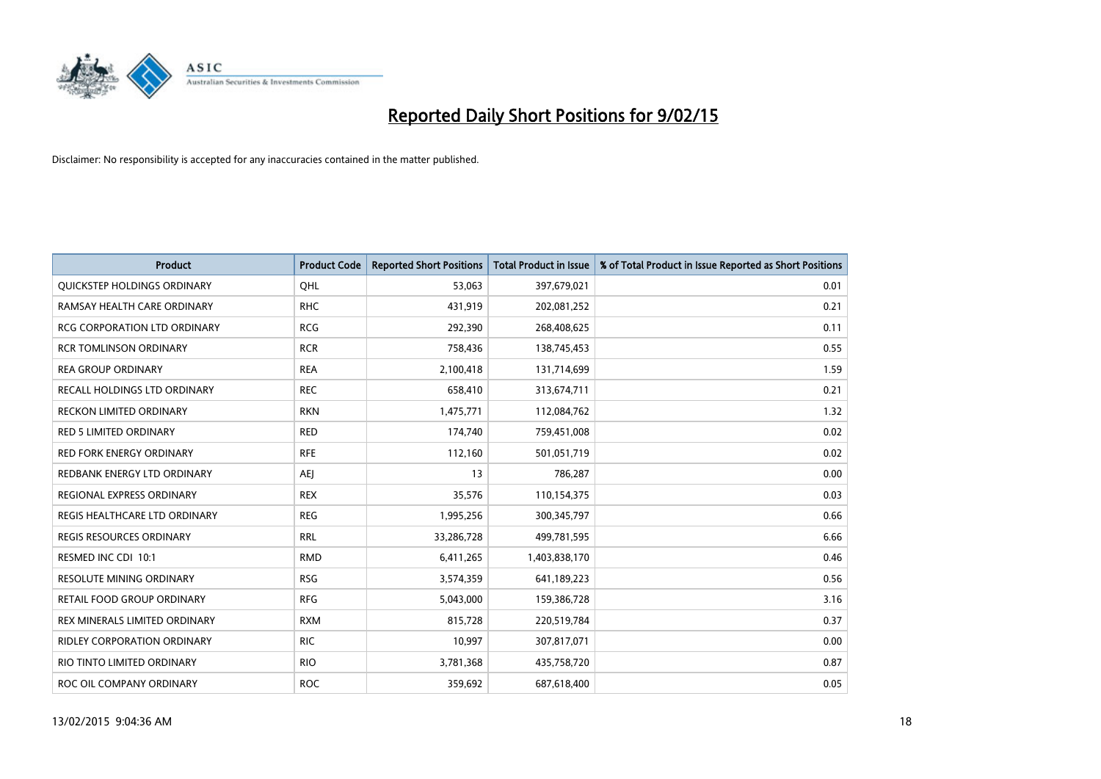

| <b>Product</b>                      | <b>Product Code</b> | <b>Reported Short Positions</b> | <b>Total Product in Issue</b> | % of Total Product in Issue Reported as Short Positions |
|-------------------------------------|---------------------|---------------------------------|-------------------------------|---------------------------------------------------------|
| QUICKSTEP HOLDINGS ORDINARY         | OHL                 | 53,063                          | 397,679,021                   | 0.01                                                    |
| RAMSAY HEALTH CARE ORDINARY         | <b>RHC</b>          | 431,919                         | 202,081,252                   | 0.21                                                    |
| <b>RCG CORPORATION LTD ORDINARY</b> | <b>RCG</b>          | 292,390                         | 268,408,625                   | 0.11                                                    |
| <b>RCR TOMLINSON ORDINARY</b>       | <b>RCR</b>          | 758,436                         | 138,745,453                   | 0.55                                                    |
| <b>REA GROUP ORDINARY</b>           | <b>REA</b>          | 2,100,418                       | 131,714,699                   | 1.59                                                    |
| RECALL HOLDINGS LTD ORDINARY        | <b>REC</b>          | 658,410                         | 313,674,711                   | 0.21                                                    |
| <b>RECKON LIMITED ORDINARY</b>      | <b>RKN</b>          | 1,475,771                       | 112,084,762                   | 1.32                                                    |
| RED 5 LIMITED ORDINARY              | <b>RED</b>          | 174,740                         | 759,451,008                   | 0.02                                                    |
| <b>RED FORK ENERGY ORDINARY</b>     | <b>RFE</b>          | 112,160                         | 501,051,719                   | 0.02                                                    |
| REDBANK ENERGY LTD ORDINARY         | <b>AEI</b>          | 13                              | 786,287                       | 0.00                                                    |
| REGIONAL EXPRESS ORDINARY           | <b>REX</b>          | 35,576                          | 110,154,375                   | 0.03                                                    |
| REGIS HEALTHCARE LTD ORDINARY       | <b>REG</b>          | 1,995,256                       | 300,345,797                   | 0.66                                                    |
| REGIS RESOURCES ORDINARY            | <b>RRL</b>          | 33,286,728                      | 499,781,595                   | 6.66                                                    |
| RESMED INC CDI 10:1                 | <b>RMD</b>          | 6,411,265                       | 1,403,838,170                 | 0.46                                                    |
| <b>RESOLUTE MINING ORDINARY</b>     | <b>RSG</b>          | 3,574,359                       | 641,189,223                   | 0.56                                                    |
| RETAIL FOOD GROUP ORDINARY          | <b>RFG</b>          | 5,043,000                       | 159,386,728                   | 3.16                                                    |
| REX MINERALS LIMITED ORDINARY       | <b>RXM</b>          | 815,728                         | 220,519,784                   | 0.37                                                    |
| RIDLEY CORPORATION ORDINARY         | <b>RIC</b>          | 10,997                          | 307,817,071                   | 0.00                                                    |
| RIO TINTO LIMITED ORDINARY          | <b>RIO</b>          | 3,781,368                       | 435,758,720                   | 0.87                                                    |
| ROC OIL COMPANY ORDINARY            | <b>ROC</b>          | 359,692                         | 687,618,400                   | 0.05                                                    |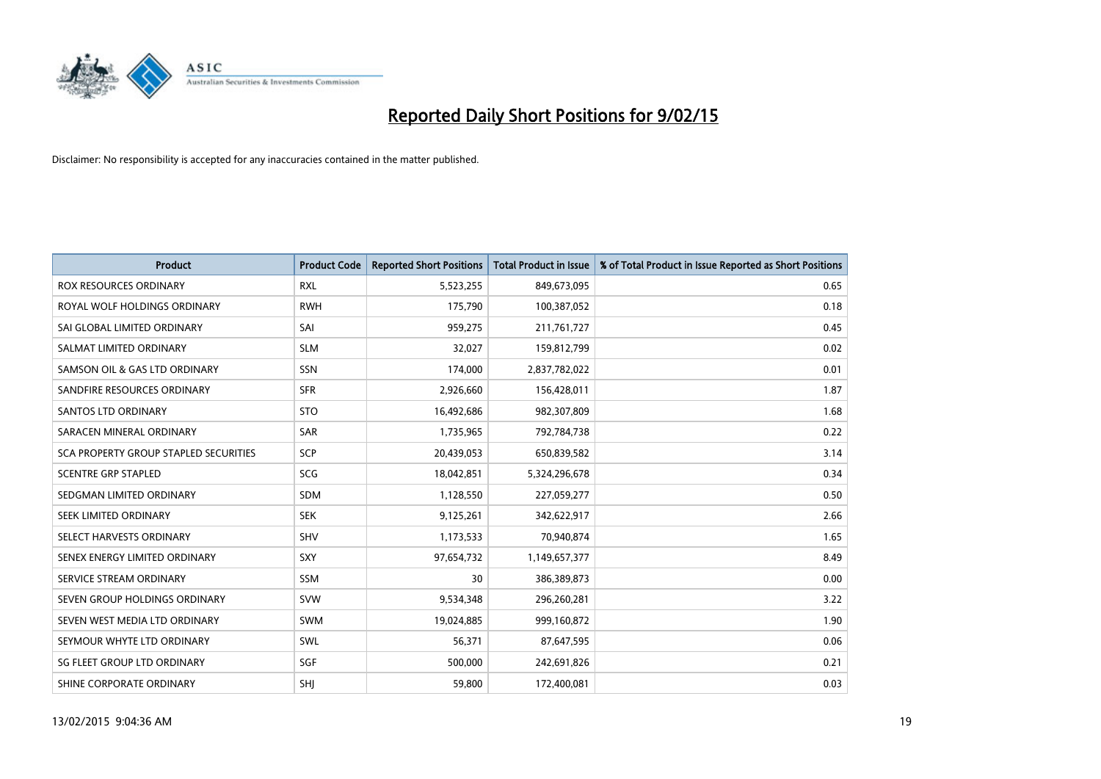

| <b>Product</b>                               | <b>Product Code</b> | <b>Reported Short Positions</b> | <b>Total Product in Issue</b> | % of Total Product in Issue Reported as Short Positions |
|----------------------------------------------|---------------------|---------------------------------|-------------------------------|---------------------------------------------------------|
| ROX RESOURCES ORDINARY                       | <b>RXL</b>          | 5,523,255                       | 849,673,095                   | 0.65                                                    |
| ROYAL WOLF HOLDINGS ORDINARY                 | <b>RWH</b>          | 175,790                         | 100,387,052                   | 0.18                                                    |
| SAI GLOBAL LIMITED ORDINARY                  | SAI                 | 959,275                         | 211,761,727                   | 0.45                                                    |
| SALMAT LIMITED ORDINARY                      | <b>SLM</b>          | 32,027                          | 159,812,799                   | 0.02                                                    |
| SAMSON OIL & GAS LTD ORDINARY                | SSN                 | 174,000                         | 2,837,782,022                 | 0.01                                                    |
| SANDFIRE RESOURCES ORDINARY                  | <b>SFR</b>          | 2,926,660                       | 156,428,011                   | 1.87                                                    |
| SANTOS LTD ORDINARY                          | <b>STO</b>          | 16,492,686                      | 982,307,809                   | 1.68                                                    |
| SARACEN MINERAL ORDINARY                     | <b>SAR</b>          | 1,735,965                       | 792,784,738                   | 0.22                                                    |
| <b>SCA PROPERTY GROUP STAPLED SECURITIES</b> | SCP                 | 20,439,053                      | 650,839,582                   | 3.14                                                    |
| <b>SCENTRE GRP STAPLED</b>                   | SCG                 | 18,042,851                      | 5,324,296,678                 | 0.34                                                    |
| SEDGMAN LIMITED ORDINARY                     | <b>SDM</b>          | 1,128,550                       | 227,059,277                   | 0.50                                                    |
| SEEK LIMITED ORDINARY                        | <b>SEK</b>          | 9,125,261                       | 342,622,917                   | 2.66                                                    |
| SELECT HARVESTS ORDINARY                     | SHV                 | 1,173,533                       | 70,940,874                    | 1.65                                                    |
| SENEX ENERGY LIMITED ORDINARY                | <b>SXY</b>          | 97,654,732                      | 1,149,657,377                 | 8.49                                                    |
| SERVICE STREAM ORDINARY                      | <b>SSM</b>          | 30                              | 386,389,873                   | 0.00                                                    |
| SEVEN GROUP HOLDINGS ORDINARY                | <b>SVW</b>          | 9,534,348                       | 296,260,281                   | 3.22                                                    |
| SEVEN WEST MEDIA LTD ORDINARY                | <b>SWM</b>          | 19,024,885                      | 999,160,872                   | 1.90                                                    |
| SEYMOUR WHYTE LTD ORDINARY                   | SWL                 | 56,371                          | 87,647,595                    | 0.06                                                    |
| SG FLEET GROUP LTD ORDINARY                  | SGF                 | 500,000                         | 242,691,826                   | 0.21                                                    |
| SHINE CORPORATE ORDINARY                     | SHJ                 | 59,800                          | 172,400,081                   | 0.03                                                    |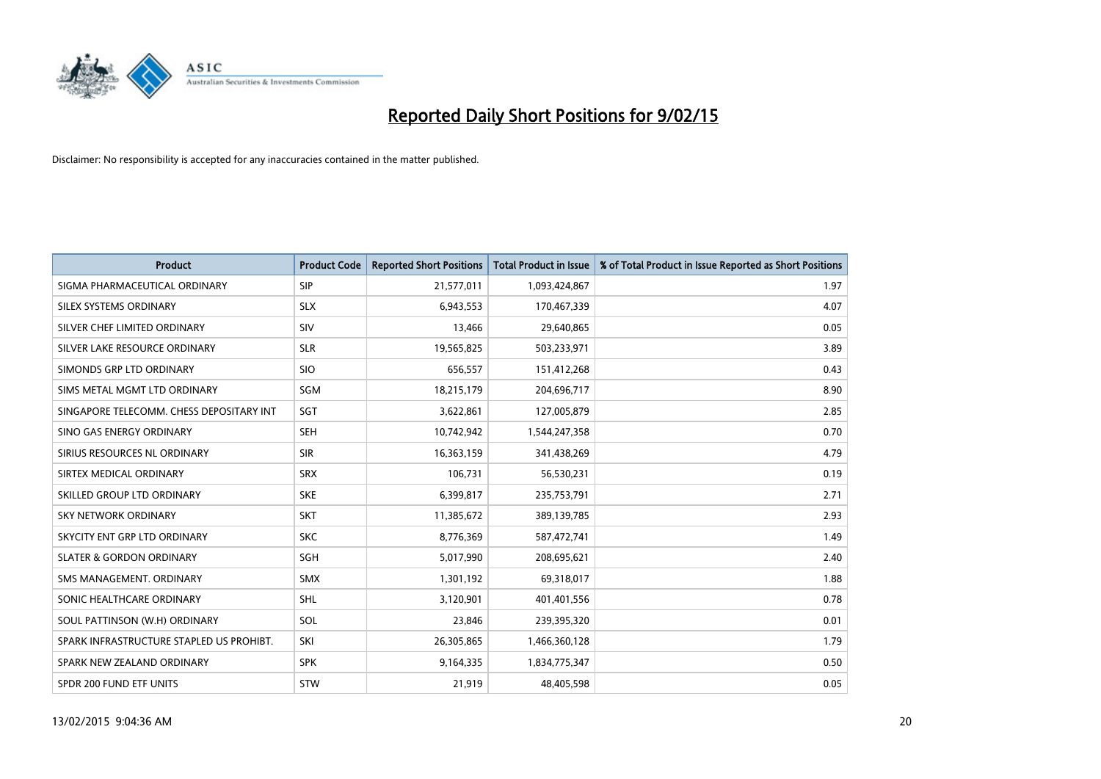

| <b>Product</b>                           | <b>Product Code</b> | <b>Reported Short Positions</b> | <b>Total Product in Issue</b> | % of Total Product in Issue Reported as Short Positions |
|------------------------------------------|---------------------|---------------------------------|-------------------------------|---------------------------------------------------------|
| SIGMA PHARMACEUTICAL ORDINARY            | <b>SIP</b>          | 21,577,011                      | 1,093,424,867                 | 1.97                                                    |
| SILEX SYSTEMS ORDINARY                   | <b>SLX</b>          | 6,943,553                       | 170,467,339                   | 4.07                                                    |
| SILVER CHEF LIMITED ORDINARY             | SIV                 | 13,466                          | 29,640,865                    | 0.05                                                    |
| SILVER LAKE RESOURCE ORDINARY            | <b>SLR</b>          | 19,565,825                      | 503,233,971                   | 3.89                                                    |
| SIMONDS GRP LTD ORDINARY                 | <b>SIO</b>          | 656,557                         | 151,412,268                   | 0.43                                                    |
| SIMS METAL MGMT LTD ORDINARY             | SGM                 | 18,215,179                      | 204,696,717                   | 8.90                                                    |
| SINGAPORE TELECOMM. CHESS DEPOSITARY INT | SGT                 | 3,622,861                       | 127,005,879                   | 2.85                                                    |
| SINO GAS ENERGY ORDINARY                 | <b>SEH</b>          | 10,742,942                      | 1,544,247,358                 | 0.70                                                    |
| SIRIUS RESOURCES NL ORDINARY             | <b>SIR</b>          | 16,363,159                      | 341,438,269                   | 4.79                                                    |
| SIRTEX MEDICAL ORDINARY                  | <b>SRX</b>          | 106,731                         | 56,530,231                    | 0.19                                                    |
| SKILLED GROUP LTD ORDINARY               | <b>SKE</b>          | 6,399,817                       | 235,753,791                   | 2.71                                                    |
| <b>SKY NETWORK ORDINARY</b>              | <b>SKT</b>          | 11,385,672                      | 389,139,785                   | 2.93                                                    |
| SKYCITY ENT GRP LTD ORDINARY             | <b>SKC</b>          | 8,776,369                       | 587,472,741                   | 1.49                                                    |
| <b>SLATER &amp; GORDON ORDINARY</b>      | SGH                 | 5,017,990                       | 208,695,621                   | 2.40                                                    |
| SMS MANAGEMENT, ORDINARY                 | <b>SMX</b>          | 1,301,192                       | 69,318,017                    | 1.88                                                    |
| SONIC HEALTHCARE ORDINARY                | <b>SHL</b>          | 3,120,901                       | 401,401,556                   | 0.78                                                    |
| SOUL PATTINSON (W.H) ORDINARY            | SOL                 | 23,846                          | 239,395,320                   | 0.01                                                    |
| SPARK INFRASTRUCTURE STAPLED US PROHIBT. | SKI                 | 26,305,865                      | 1,466,360,128                 | 1.79                                                    |
| SPARK NEW ZEALAND ORDINARY               | <b>SPK</b>          | 9,164,335                       | 1,834,775,347                 | 0.50                                                    |
| SPDR 200 FUND ETF UNITS                  | <b>STW</b>          | 21,919                          | 48,405,598                    | 0.05                                                    |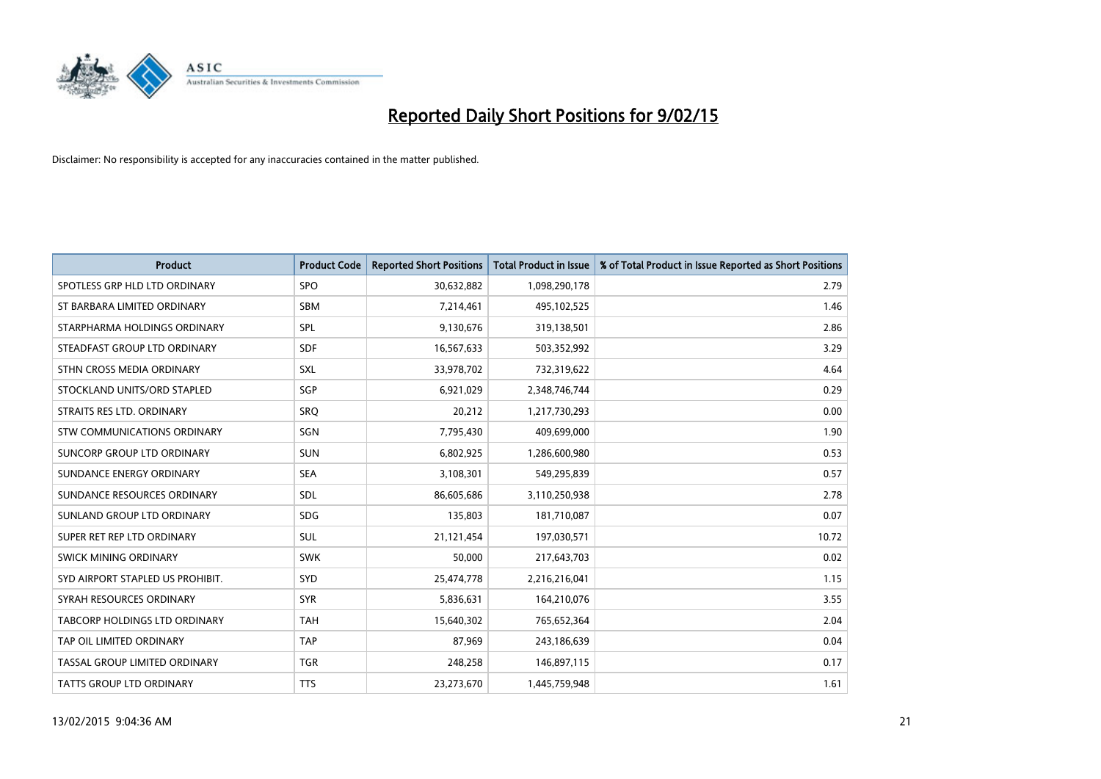

| <b>Product</b>                   | <b>Product Code</b> | <b>Reported Short Positions</b> | <b>Total Product in Issue</b> | % of Total Product in Issue Reported as Short Positions |
|----------------------------------|---------------------|---------------------------------|-------------------------------|---------------------------------------------------------|
| SPOTLESS GRP HLD LTD ORDINARY    | SPO                 | 30,632,882                      | 1,098,290,178                 | 2.79                                                    |
| ST BARBARA LIMITED ORDINARY      | SBM                 | 7,214,461                       | 495,102,525                   | 1.46                                                    |
| STARPHARMA HOLDINGS ORDINARY     | <b>SPL</b>          | 9,130,676                       | 319,138,501                   | 2.86                                                    |
| STEADFAST GROUP LTD ORDINARY     | <b>SDF</b>          | 16,567,633                      | 503,352,992                   | 3.29                                                    |
| STHN CROSS MEDIA ORDINARY        | <b>SXL</b>          | 33,978,702                      | 732,319,622                   | 4.64                                                    |
| STOCKLAND UNITS/ORD STAPLED      | SGP                 | 6,921,029                       | 2,348,746,744                 | 0.29                                                    |
| STRAITS RES LTD. ORDINARY        | SRQ                 | 20,212                          | 1,217,730,293                 | 0.00                                                    |
| STW COMMUNICATIONS ORDINARY      | <b>SGN</b>          | 7,795,430                       | 409,699,000                   | 1.90                                                    |
| SUNCORP GROUP LTD ORDINARY       | <b>SUN</b>          | 6,802,925                       | 1,286,600,980                 | 0.53                                                    |
| SUNDANCE ENERGY ORDINARY         | <b>SEA</b>          | 3,108,301                       | 549,295,839                   | 0.57                                                    |
| SUNDANCE RESOURCES ORDINARY      | <b>SDL</b>          | 86,605,686                      | 3,110,250,938                 | 2.78                                                    |
| SUNLAND GROUP LTD ORDINARY       | <b>SDG</b>          | 135,803                         | 181,710,087                   | 0.07                                                    |
| SUPER RET REP LTD ORDINARY       | <b>SUL</b>          | 21,121,454                      | 197,030,571                   | 10.72                                                   |
| SWICK MINING ORDINARY            | <b>SWK</b>          | 50,000                          | 217,643,703                   | 0.02                                                    |
| SYD AIRPORT STAPLED US PROHIBIT. | <b>SYD</b>          | 25,474,778                      | 2,216,216,041                 | 1.15                                                    |
| SYRAH RESOURCES ORDINARY         | <b>SYR</b>          | 5,836,631                       | 164,210,076                   | 3.55                                                    |
| TABCORP HOLDINGS LTD ORDINARY    | <b>TAH</b>          | 15,640,302                      | 765,652,364                   | 2.04                                                    |
| TAP OIL LIMITED ORDINARY         | <b>TAP</b>          | 87,969                          | 243,186,639                   | 0.04                                                    |
| TASSAL GROUP LIMITED ORDINARY    | <b>TGR</b>          | 248,258                         | 146,897,115                   | 0.17                                                    |
| <b>TATTS GROUP LTD ORDINARY</b>  | <b>TTS</b>          | 23,273,670                      | 1,445,759,948                 | 1.61                                                    |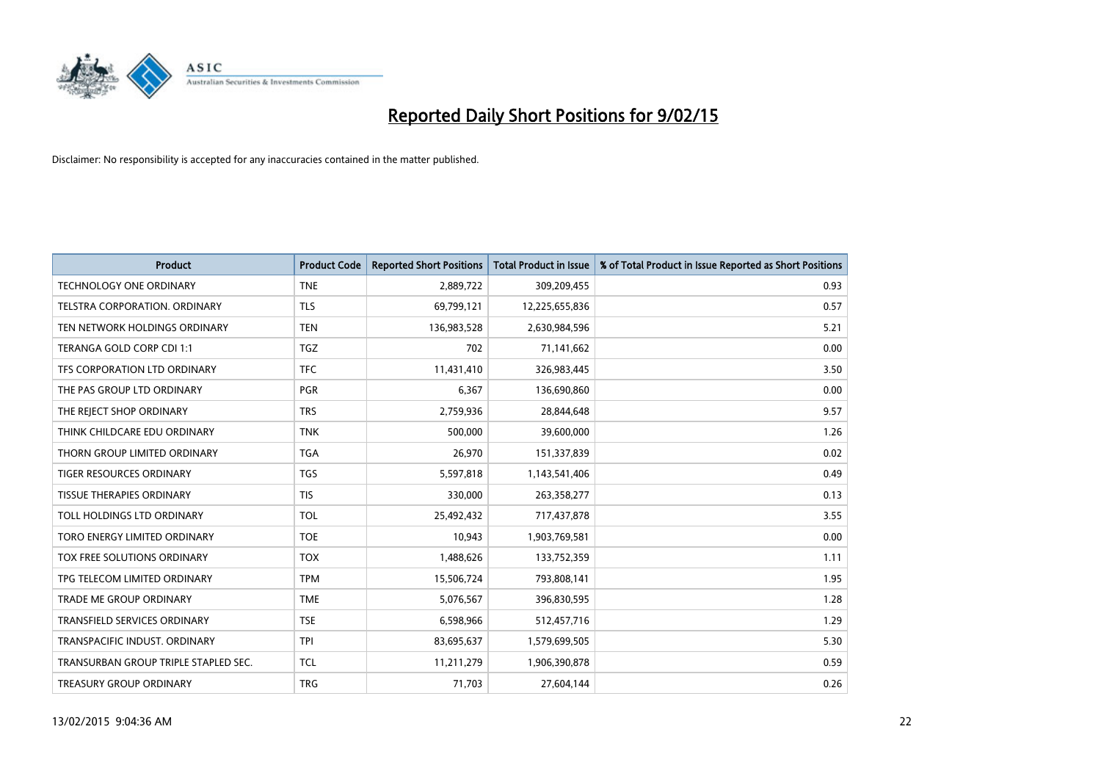

| <b>Product</b>                       | <b>Product Code</b> | <b>Reported Short Positions</b> | <b>Total Product in Issue</b> | % of Total Product in Issue Reported as Short Positions |
|--------------------------------------|---------------------|---------------------------------|-------------------------------|---------------------------------------------------------|
| <b>TECHNOLOGY ONE ORDINARY</b>       | <b>TNE</b>          | 2,889,722                       | 309,209,455                   | 0.93                                                    |
| TELSTRA CORPORATION. ORDINARY        | <b>TLS</b>          | 69,799,121                      | 12,225,655,836                | 0.57                                                    |
| TEN NETWORK HOLDINGS ORDINARY        | <b>TEN</b>          | 136,983,528                     | 2,630,984,596                 | 5.21                                                    |
| TERANGA GOLD CORP CDI 1:1            | <b>TGZ</b>          | 702                             | 71,141,662                    | 0.00                                                    |
| TFS CORPORATION LTD ORDINARY         | <b>TFC</b>          | 11,431,410                      | 326,983,445                   | 3.50                                                    |
| THE PAS GROUP LTD ORDINARY           | <b>PGR</b>          | 6,367                           | 136,690,860                   | 0.00                                                    |
| THE REJECT SHOP ORDINARY             | <b>TRS</b>          | 2,759,936                       | 28,844,648                    | 9.57                                                    |
| THINK CHILDCARE EDU ORDINARY         | <b>TNK</b>          | 500,000                         | 39,600,000                    | 1.26                                                    |
| THORN GROUP LIMITED ORDINARY         | <b>TGA</b>          | 26,970                          | 151,337,839                   | 0.02                                                    |
| <b>TIGER RESOURCES ORDINARY</b>      | <b>TGS</b>          | 5,597,818                       | 1,143,541,406                 | 0.49                                                    |
| <b>TISSUE THERAPIES ORDINARY</b>     | <b>TIS</b>          | 330,000                         | 263,358,277                   | 0.13                                                    |
| TOLL HOLDINGS LTD ORDINARY           | <b>TOL</b>          | 25,492,432                      | 717,437,878                   | 3.55                                                    |
| TORO ENERGY LIMITED ORDINARY         | <b>TOE</b>          | 10,943                          | 1,903,769,581                 | 0.00                                                    |
| TOX FREE SOLUTIONS ORDINARY          | <b>TOX</b>          | 1,488,626                       | 133,752,359                   | 1.11                                                    |
| TPG TELECOM LIMITED ORDINARY         | <b>TPM</b>          | 15,506,724                      | 793,808,141                   | 1.95                                                    |
| <b>TRADE ME GROUP ORDINARY</b>       | <b>TME</b>          | 5,076,567                       | 396,830,595                   | 1.28                                                    |
| <b>TRANSFIELD SERVICES ORDINARY</b>  | <b>TSE</b>          | 6,598,966                       | 512,457,716                   | 1.29                                                    |
| TRANSPACIFIC INDUST, ORDINARY        | <b>TPI</b>          | 83,695,637                      | 1,579,699,505                 | 5.30                                                    |
| TRANSURBAN GROUP TRIPLE STAPLED SEC. | <b>TCL</b>          | 11,211,279                      | 1,906,390,878                 | 0.59                                                    |
| TREASURY GROUP ORDINARY              | <b>TRG</b>          | 71,703                          | 27,604,144                    | 0.26                                                    |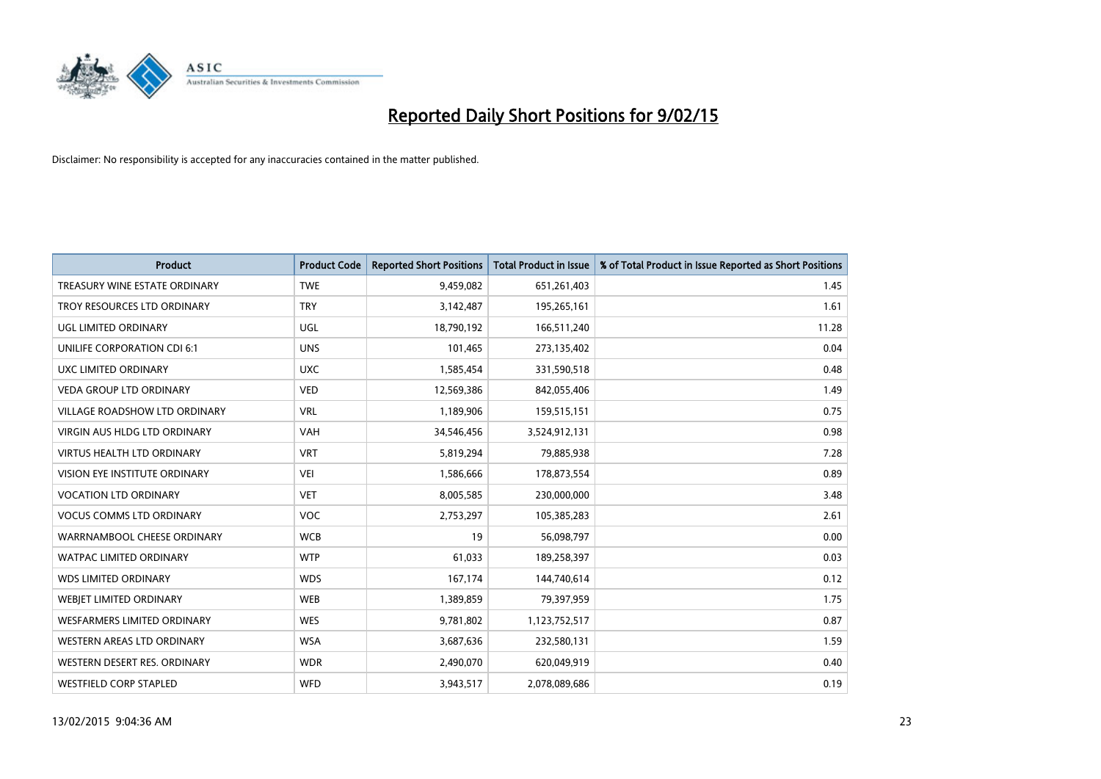

| <b>Product</b>                       | <b>Product Code</b> | <b>Reported Short Positions</b> | <b>Total Product in Issue</b> | % of Total Product in Issue Reported as Short Positions |
|--------------------------------------|---------------------|---------------------------------|-------------------------------|---------------------------------------------------------|
| TREASURY WINE ESTATE ORDINARY        | <b>TWE</b>          | 9,459,082                       | 651,261,403                   | 1.45                                                    |
| TROY RESOURCES LTD ORDINARY          | <b>TRY</b>          | 3,142,487                       | 195,265,161                   | 1.61                                                    |
| UGL LIMITED ORDINARY                 | UGL                 | 18,790,192                      | 166,511,240                   | 11.28                                                   |
| UNILIFE CORPORATION CDI 6:1          | <b>UNS</b>          | 101,465                         | 273,135,402                   | 0.04                                                    |
| UXC LIMITED ORDINARY                 | <b>UXC</b>          | 1,585,454                       | 331,590,518                   | 0.48                                                    |
| <b>VEDA GROUP LTD ORDINARY</b>       | <b>VED</b>          | 12,569,386                      | 842,055,406                   | 1.49                                                    |
| <b>VILLAGE ROADSHOW LTD ORDINARY</b> | <b>VRL</b>          | 1,189,906                       | 159,515,151                   | 0.75                                                    |
| VIRGIN AUS HLDG LTD ORDINARY         | <b>VAH</b>          | 34,546,456                      | 3,524,912,131                 | 0.98                                                    |
| <b>VIRTUS HEALTH LTD ORDINARY</b>    | <b>VRT</b>          | 5,819,294                       | 79,885,938                    | 7.28                                                    |
| VISION EYE INSTITUTE ORDINARY        | <b>VEI</b>          | 1,586,666                       | 178,873,554                   | 0.89                                                    |
| <b>VOCATION LTD ORDINARY</b>         | <b>VET</b>          | 8,005,585                       | 230,000,000                   | 3.48                                                    |
| <b>VOCUS COMMS LTD ORDINARY</b>      | <b>VOC</b>          | 2,753,297                       | 105,385,283                   | 2.61                                                    |
| WARRNAMBOOL CHEESE ORDINARY          | <b>WCB</b>          | 19                              | 56,098,797                    | 0.00                                                    |
| <b>WATPAC LIMITED ORDINARY</b>       | <b>WTP</b>          | 61,033                          | 189,258,397                   | 0.03                                                    |
| <b>WDS LIMITED ORDINARY</b>          | <b>WDS</b>          | 167,174                         | 144,740,614                   | 0.12                                                    |
| WEBJET LIMITED ORDINARY              | <b>WEB</b>          | 1,389,859                       | 79,397,959                    | 1.75                                                    |
| WESFARMERS LIMITED ORDINARY          | <b>WES</b>          | 9,781,802                       | 1,123,752,517                 | 0.87                                                    |
| WESTERN AREAS LTD ORDINARY           | <b>WSA</b>          | 3,687,636                       | 232,580,131                   | 1.59                                                    |
| WESTERN DESERT RES. ORDINARY         | <b>WDR</b>          | 2,490,070                       | 620,049,919                   | 0.40                                                    |
| <b>WESTFIELD CORP STAPLED</b>        | <b>WFD</b>          | 3,943,517                       | 2,078,089,686                 | 0.19                                                    |